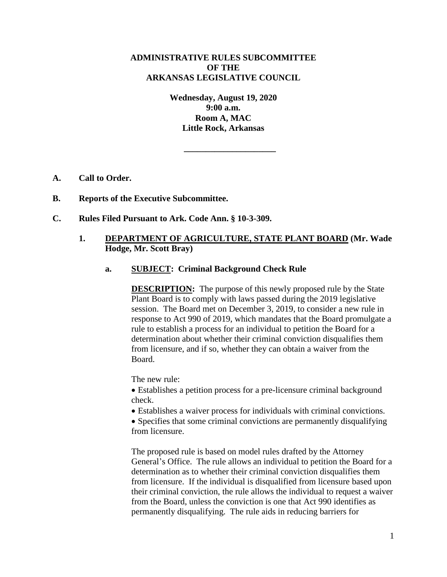# **ADMINISTRATIVE RULES SUBCOMMITTEE OF THE ARKANSAS LEGISLATIVE COUNCIL**

**Wednesday, August 19, 2020 9:00 a.m. Room A, MAC Little Rock, Arkansas**

**\_\_\_\_\_\_\_\_\_\_\_\_\_\_\_\_\_\_\_\_\_**

- **A. Call to Order.**
- **B. Reports of the Executive Subcommittee.**
- **C. Rules Filed Pursuant to Ark. Code Ann. § 10-3-309.**

# **1. DEPARTMENT OF AGRICULTURE, STATE PLANT BOARD (Mr. Wade Hodge, Mr. Scott Bray)**

# **a. SUBJECT: Criminal Background Check Rule**

**DESCRIPTION:** The purpose of this newly proposed rule by the State Plant Board is to comply with laws passed during the 2019 legislative session. The Board met on December 3, 2019, to consider a new rule in response to Act 990 of 2019, which mandates that the Board promulgate a rule to establish a process for an individual to petition the Board for a determination about whether their criminal conviction disqualifies them from licensure, and if so, whether they can obtain a waiver from the Board.

The new rule:

 Establishes a petition process for a pre-licensure criminal background check.

Establishes a waiver process for individuals with criminal convictions.

• Specifies that some criminal convictions are permanently disqualifying from licensure.

The proposed rule is based on model rules drafted by the Attorney General's Office. The rule allows an individual to petition the Board for a determination as to whether their criminal conviction disqualifies them from licensure. If the individual is disqualified from licensure based upon their criminal conviction, the rule allows the individual to request a waiver from the Board, unless the conviction is one that Act 990 identifies as permanently disqualifying. The rule aids in reducing barriers for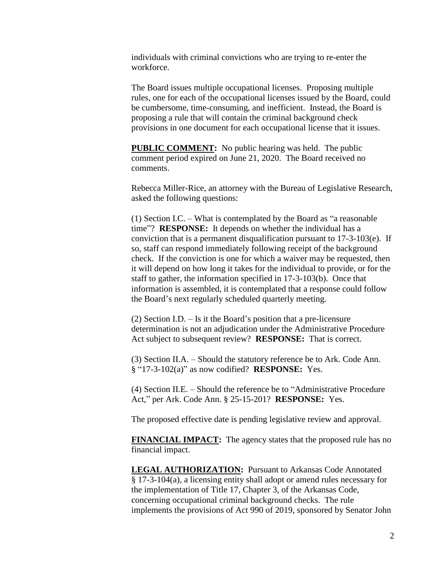individuals with criminal convictions who are trying to re-enter the workforce.

The Board issues multiple occupational licenses. Proposing multiple rules, one for each of the occupational licenses issued by the Board, could be cumbersome, time-consuming, and inefficient. Instead, the Board is proposing a rule that will contain the criminal background check provisions in one document for each occupational license that it issues.

**PUBLIC COMMENT:** No public hearing was held. The public comment period expired on June 21, 2020. The Board received no comments.

Rebecca Miller-Rice, an attorney with the Bureau of Legislative Research, asked the following questions:

(1) Section I.C. – What is contemplated by the Board as "a reasonable time"? **RESPONSE:** It depends on whether the individual has a conviction that is a permanent disqualification pursuant to 17-3-103(e). If so, staff can respond immediately following receipt of the background check. If the conviction is one for which a waiver may be requested, then it will depend on how long it takes for the individual to provide, or for the staff to gather, the information specified in 17-3-103(b). Once that information is assembled, it is contemplated that a response could follow the Board's next regularly scheduled quarterly meeting.

(2) Section I.D. – Is it the Board's position that a pre-licensure determination is not an adjudication under the Administrative Procedure Act subject to subsequent review? **RESPONSE:** That is correct.

(3) Section II.A. – Should the statutory reference be to Ark. Code Ann. § "17-3-102(a)" as now codified? **RESPONSE:** Yes.

(4) Section II.E. – Should the reference be to "Administrative Procedure Act," per Ark. Code Ann. § 25-15-201? **RESPONSE:** Yes.

The proposed effective date is pending legislative review and approval.

**FINANCIAL IMPACT:** The agency states that the proposed rule has no financial impact.

**LEGAL AUTHORIZATION:** Pursuant to Arkansas Code Annotated § 17-3-104(a), a licensing entity shall adopt or amend rules necessary for the implementation of Title 17, Chapter 3, of the Arkansas Code, concerning occupational criminal background checks. The rule implements the provisions of Act 990 of 2019, sponsored by Senator John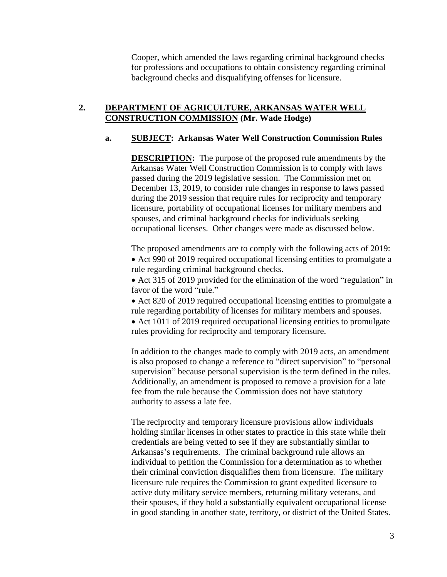Cooper, which amended the laws regarding criminal background checks for professions and occupations to obtain consistency regarding criminal background checks and disqualifying offenses for licensure.

## **2. DEPARTMENT OF AGRICULTURE, ARKANSAS WATER WELL CONSTRUCTION COMMISSION (Mr. Wade Hodge)**

## **a. SUBJECT: Arkansas Water Well Construction Commission Rules**

**DESCRIPTION:** The purpose of the proposed rule amendments by the Arkansas Water Well Construction Commission is to comply with laws passed during the 2019 legislative session. The Commission met on December 13, 2019, to consider rule changes in response to laws passed during the 2019 session that require rules for reciprocity and temporary licensure, portability of occupational licenses for military members and spouses, and criminal background checks for individuals seeking occupational licenses. Other changes were made as discussed below.

The proposed amendments are to comply with the following acts of 2019:

• Act 990 of 2019 required occupational licensing entities to promulgate a rule regarding criminal background checks.

• Act 315 of 2019 provided for the elimination of the word "regulation" in favor of the word "rule."

• Act 820 of 2019 required occupational licensing entities to promulgate a rule regarding portability of licenses for military members and spouses.

• Act 1011 of 2019 required occupational licensing entities to promulgate rules providing for reciprocity and temporary licensure.

In addition to the changes made to comply with 2019 acts, an amendment is also proposed to change a reference to "direct supervision" to "personal supervision" because personal supervision is the term defined in the rules. Additionally, an amendment is proposed to remove a provision for a late fee from the rule because the Commission does not have statutory authority to assess a late fee.

The reciprocity and temporary licensure provisions allow individuals holding similar licenses in other states to practice in this state while their credentials are being vetted to see if they are substantially similar to Arkansas's requirements. The criminal background rule allows an individual to petition the Commission for a determination as to whether their criminal conviction disqualifies them from licensure. The military licensure rule requires the Commission to grant expedited licensure to active duty military service members, returning military veterans, and their spouses, if they hold a substantially equivalent occupational license in good standing in another state, territory, or district of the United States.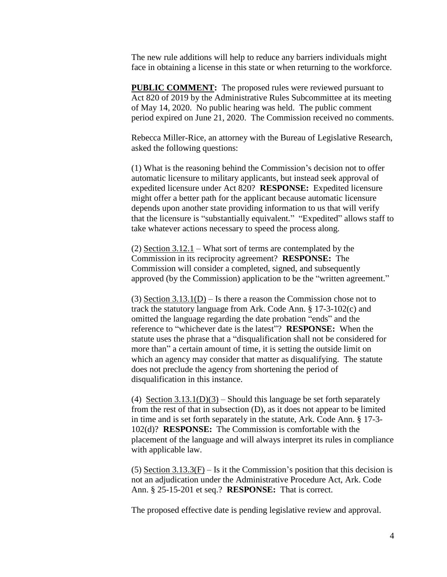The new rule additions will help to reduce any barriers individuals might face in obtaining a license in this state or when returning to the workforce.

**PUBLIC COMMENT:** The proposed rules were reviewed pursuant to Act 820 of 2019 by the Administrative Rules Subcommittee at its meeting of May 14, 2020. No public hearing was held. The public comment period expired on June 21, 2020. The Commission received no comments.

Rebecca Miller-Rice, an attorney with the Bureau of Legislative Research, asked the following questions:

(1) What is the reasoning behind the Commission's decision not to offer automatic licensure to military applicants, but instead seek approval of expedited licensure under Act 820? **RESPONSE:** Expedited licensure might offer a better path for the applicant because automatic licensure depends upon another state providing information to us that will verify that the licensure is "substantially equivalent." "Expedited" allows staff to take whatever actions necessary to speed the process along.

(2) Section  $3.12.1$  – What sort of terms are contemplated by the Commission in its reciprocity agreement? **RESPONSE:** The Commission will consider a completed, signed, and subsequently approved (by the Commission) application to be the "written agreement."

(3) Section  $3.13.1(D)$  – Is there a reason the Commission chose not to track the statutory language from Ark. Code Ann. § 17-3-102(c) and omitted the language regarding the date probation "ends" and the reference to "whichever date is the latest"? **RESPONSE:** When the statute uses the phrase that a "disqualification shall not be considered for more than" a certain amount of time, it is setting the outside limit on which an agency may consider that matter as disqualifying. The statute does not preclude the agency from shortening the period of disqualification in this instance.

(4) Section  $3.13.1(D)(3)$  – Should this language be set forth separately from the rest of that in subsection (D), as it does not appear to be limited in time and is set forth separately in the statute, Ark. Code Ann. § 17-3- 102(d)? **RESPONSE:** The Commission is comfortable with the placement of the language and will always interpret its rules in compliance with applicable law.

(5) Section  $3.13.3(F) - Is$  it the Commission's position that this decision is not an adjudication under the Administrative Procedure Act, Ark. Code Ann. § 25-15-201 et seq.? **RESPONSE:** That is correct.

The proposed effective date is pending legislative review and approval.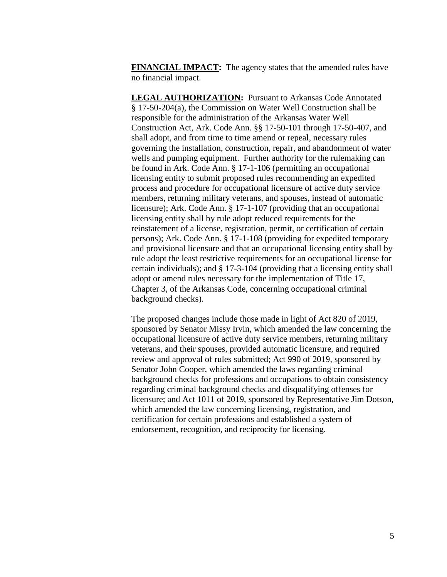**FINANCIAL IMPACT:** The agency states that the amended rules have no financial impact.

**LEGAL AUTHORIZATION:** Pursuant to Arkansas Code Annotated § 17-50-204(a), the Commission on Water Well Construction shall be responsible for the administration of the Arkansas Water Well Construction Act, Ark. Code Ann. §§ 17-50-101 through 17-50-407, and shall adopt, and from time to time amend or repeal, necessary rules governing the installation, construction, repair, and abandonment of water wells and pumping equipment. Further authority for the rulemaking can be found in Ark. Code Ann. § 17-1-106 (permitting an occupational licensing entity to submit proposed rules recommending an expedited process and procedure for occupational licensure of active duty service members, returning military veterans, and spouses, instead of automatic licensure); Ark. Code Ann. § 17-1-107 (providing that an occupational licensing entity shall by rule adopt reduced requirements for the reinstatement of a license, registration, permit, or certification of certain persons); Ark. Code Ann. § 17-1-108 (providing for expedited temporary and provisional licensure and that an occupational licensing entity shall by rule adopt the least restrictive requirements for an occupational license for certain individuals); and § 17-3-104 (providing that a licensing entity shall adopt or amend rules necessary for the implementation of Title 17, Chapter 3, of the Arkansas Code, concerning occupational criminal background checks).

The proposed changes include those made in light of Act 820 of 2019, sponsored by Senator Missy Irvin, which amended the law concerning the occupational licensure of active duty service members, returning military veterans, and their spouses, provided automatic licensure, and required review and approval of rules submitted; Act 990 of 2019, sponsored by Senator John Cooper, which amended the laws regarding criminal background checks for professions and occupations to obtain consistency regarding criminal background checks and disqualifying offenses for licensure; and Act 1011 of 2019, sponsored by Representative Jim Dotson, which amended the law concerning licensing, registration, and certification for certain professions and established a system of endorsement, recognition, and reciprocity for licensing.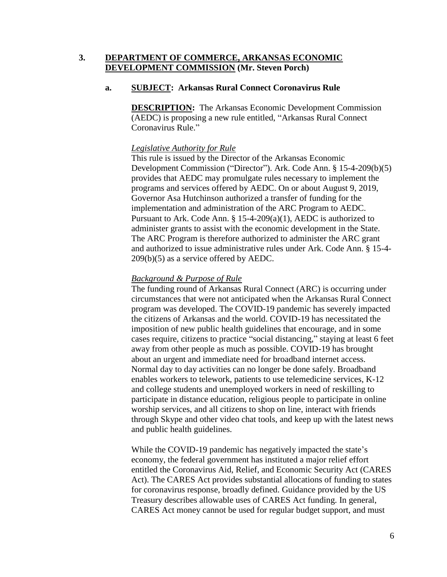# **3. DEPARTMENT OF COMMERCE, ARKANSAS ECONOMIC DEVELOPMENT COMMISSION (Mr. Steven Porch)**

#### **a. SUBJECT: Arkansas Rural Connect Coronavirus Rule**

**DESCRIPTION:** The Arkansas Economic Development Commission (AEDC) is proposing a new rule entitled, "Arkansas Rural Connect Coronavirus Rule."

#### *Legislative Authority for Rule*

This rule is issued by the Director of the Arkansas Economic Development Commission ("Director"). Ark. Code Ann. § 15-4-209(b)(5) provides that AEDC may promulgate rules necessary to implement the programs and services offered by AEDC. On or about August 9, 2019, Governor Asa Hutchinson authorized a transfer of funding for the implementation and administration of the ARC Program to AEDC. Pursuant to Ark. Code Ann.  $\S$  15-4-209(a)(1), AEDC is authorized to administer grants to assist with the economic development in the State. The ARC Program is therefore authorized to administer the ARC grant and authorized to issue administrative rules under Ark. Code Ann. § 15-4- 209(b)(5) as a service offered by AEDC.

#### *Background & Purpose of Rule*

The funding round of Arkansas Rural Connect (ARC) is occurring under circumstances that were not anticipated when the Arkansas Rural Connect program was developed. The COVID-19 pandemic has severely impacted the citizens of Arkansas and the world. COVID-19 has necessitated the imposition of new public health guidelines that encourage, and in some cases require, citizens to practice "social distancing," staying at least 6 feet away from other people as much as possible. COVID-19 has brought about an urgent and immediate need for broadband internet access. Normal day to day activities can no longer be done safely. Broadband enables workers to telework, patients to use telemedicine services, K-12 and college students and unemployed workers in need of reskilling to participate in distance education, religious people to participate in online worship services, and all citizens to shop on line, interact with friends through Skype and other video chat tools, and keep up with the latest news and public health guidelines.

While the COVID-19 pandemic has negatively impacted the state's economy, the federal government has instituted a major relief effort entitled the Coronavirus Aid, Relief, and Economic Security Act (CARES Act). The CARES Act provides substantial allocations of funding to states for coronavirus response, broadly defined. Guidance provided by the US Treasury describes allowable uses of CARES Act funding. In general, CARES Act money cannot be used for regular budget support, and must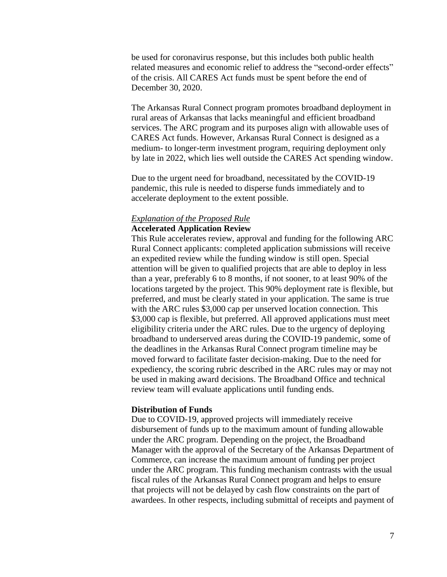be used for coronavirus response, but this includes both public health related measures and economic relief to address the "second-order effects" of the crisis. All CARES Act funds must be spent before the end of December 30, 2020.

The Arkansas Rural Connect program promotes broadband deployment in rural areas of Arkansas that lacks meaningful and efficient broadband services. The ARC program and its purposes align with allowable uses of CARES Act funds. However, Arkansas Rural Connect is designed as a medium- to longer-term investment program, requiring deployment only by late in 2022, which lies well outside the CARES Act spending window.

Due to the urgent need for broadband, necessitated by the COVID-19 pandemic, this rule is needed to disperse funds immediately and to accelerate deployment to the extent possible.

#### *Explanation of the Proposed Rule* **Accelerated Application Review**

This Rule accelerates review, approval and funding for the following ARC Rural Connect applicants: completed application submissions will receive an expedited review while the funding window is still open. Special attention will be given to qualified projects that are able to deploy in less than a year, preferably 6 to 8 months, if not sooner, to at least 90% of the locations targeted by the project. This 90% deployment rate is flexible, but preferred, and must be clearly stated in your application. The same is true with the ARC rules \$3,000 cap per unserved location connection. This \$3,000 cap is flexible, but preferred. All approved applications must meet eligibility criteria under the ARC rules. Due to the urgency of deploying broadband to underserved areas during the COVID-19 pandemic, some of the deadlines in the Arkansas Rural Connect program timeline may be moved forward to facilitate faster decision-making. Due to the need for expediency, the scoring rubric described in the ARC rules may or may not be used in making award decisions. The Broadband Office and technical review team will evaluate applications until funding ends.

#### **Distribution of Funds**

Due to COVID-19, approved projects will immediately receive disbursement of funds up to the maximum amount of funding allowable under the ARC program. Depending on the project, the Broadband Manager with the approval of the Secretary of the Arkansas Department of Commerce, can increase the maximum amount of funding per project under the ARC program. This funding mechanism contrasts with the usual fiscal rules of the Arkansas Rural Connect program and helps to ensure that projects will not be delayed by cash flow constraints on the part of awardees. In other respects, including submittal of receipts and payment of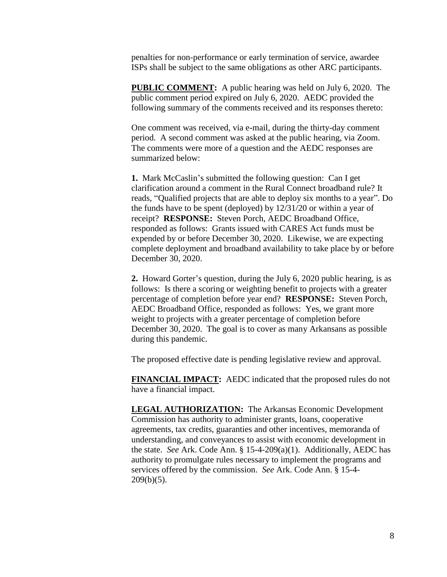penalties for non-performance or early termination of service, awardee ISPs shall be subject to the same obligations as other ARC participants.

**PUBLIC COMMENT:** A public hearing was held on July 6, 2020. The public comment period expired on July 6, 2020. AEDC provided the following summary of the comments received and its responses thereto:

One comment was received, via e-mail, during the thirty-day comment period. A second comment was asked at the public hearing, via Zoom. The comments were more of a question and the AEDC responses are summarized below:

**1.** Mark McCaslin's submitted the following question: Can I get clarification around a comment in the Rural Connect broadband rule? It reads, "Qualified projects that are able to deploy six months to a year". Do the funds have to be spent (deployed) by 12/31/20 or within a year of receipt? **RESPONSE:** Steven Porch, AEDC Broadband Office, responded as follows: Grants issued with CARES Act funds must be expended by or before December 30, 2020. Likewise, we are expecting complete deployment and broadband availability to take place by or before December 30, 2020.

**2.** Howard Gorter's question, during the July 6, 2020 public hearing, is as follows: Is there a scoring or weighting benefit to projects with a greater percentage of completion before year end? **RESPONSE:** Steven Porch, AEDC Broadband Office, responded as follows: Yes, we grant more weight to projects with a greater percentage of completion before December 30, 2020. The goal is to cover as many Arkansans as possible during this pandemic.

The proposed effective date is pending legislative review and approval.

**FINANCIAL IMPACT:** AEDC indicated that the proposed rules do not have a financial impact.

**LEGAL AUTHORIZATION:** The Arkansas Economic Development Commission has authority to administer grants, loans, cooperative agreements, tax credits, guaranties and other incentives, memoranda of understanding, and conveyances to assist with economic development in the state. *See* Ark. Code Ann. § 15-4-209(a)(1). Additionally, AEDC has authority to promulgate rules necessary to implement the programs and services offered by the commission. *See* Ark. Code Ann. § 15-4-  $209(b)(5)$ .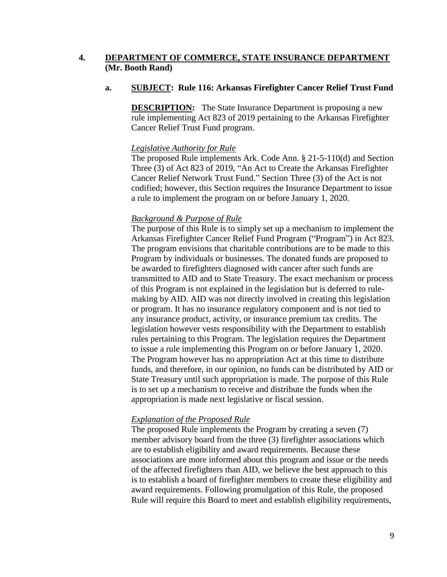## **4. DEPARTMENT OF COMMERCE, STATE INSURANCE DEPARTMENT (Mr. Booth Rand)**

## **a. SUBJECT: Rule 116: Arkansas Firefighter Cancer Relief Trust Fund**

**DESCRIPTION:** The State Insurance Department is proposing a new rule implementing Act 823 of 2019 pertaining to the Arkansas Firefighter Cancer Relief Trust Fund program.

## *Legislative Authority for Rule*

The proposed Rule implements Ark. Code Ann. § 21-5-110(d) and Section Three (3) of Act 823 of 2019, "An Act to Create the Arkansas Firefighter Cancer Relief Network Trust Fund." Section Three (3) of the Act is not codified; however, this Section requires the Insurance Department to issue a rule to implement the program on or before January 1, 2020.

## *Background & Purpose of Rule*

The purpose of this Rule is to simply set up a mechanism to implement the Arkansas Firefighter Cancer Relief Fund Program ("Program") in Act 823. The program envisions that charitable contributions are to be made to this Program by individuals or businesses. The donated funds are proposed to be awarded to firefighters diagnosed with cancer after such funds are transmitted to AID and to State Treasury. The exact mechanism or process of this Program is not explained in the legislation but is deferred to rulemaking by AID. AID was not directly involved in creating this legislation or program. It has no insurance regulatory component and is not tied to any insurance product, activity, or insurance premium tax credits. The legislation however vests responsibility with the Department to establish rules pertaining to this Program. The legislation requires the Department to issue a rule implementing this Program on or before January 1, 2020. The Program however has no appropriation Act at this time to distribute funds, and therefore, in our opinion, no funds can be distributed by AID or State Treasury until such appropriation is made. The purpose of this Rule is to set up a mechanism to receive and distribute the funds when the appropriation is made next legislative or fiscal session.

## *Explanation of the Proposed Rule*

The proposed Rule implements the Program by creating a seven (7) member advisory board from the three (3) firefighter associations which are to establish eligibility and award requirements. Because these associations are more informed about this program and issue or the needs of the affected firefighters than AID, we believe the best approach to this is to establish a board of firefighter members to create these eligibility and award requirements. Following promulgation of this Rule, the proposed Rule will require this Board to meet and establish eligibility requirements,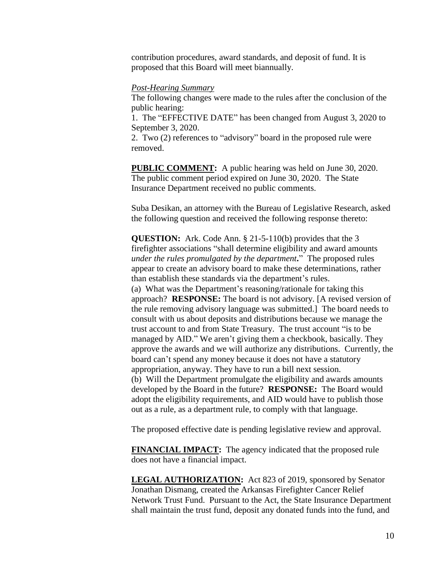contribution procedures, award standards, and deposit of fund. It is proposed that this Board will meet biannually.

#### *Post-Hearing Summary*

The following changes were made to the rules after the conclusion of the public hearing:

1. The "EFFECTIVE DATE" has been changed from August 3, 2020 to September 3, 2020.

2. Two (2) references to "advisory" board in the proposed rule were removed.

**PUBLIC COMMENT:** A public hearing was held on June 30, 2020. The public comment period expired on June 30, 2020. The State Insurance Department received no public comments.

Suba Desikan, an attorney with the Bureau of Legislative Research, asked the following question and received the following response thereto:

**QUESTION:** Ark. Code Ann. § 21-5-110(b) provides that the 3 firefighter associations "shall determine eligibility and award amounts *under the rules promulgated by the department***.**" The proposed rules appear to create an advisory board to make these determinations, rather than establish these standards via the department's rules. (a) What was the Department's reasoning/rationale for taking this approach? **RESPONSE:** The board is not advisory. [A revised version of the rule removing advisory language was submitted.] The board needs to consult with us about deposits and distributions because we manage the trust account to and from State Treasury. The trust account "is to be managed by AID." We aren't giving them a checkbook, basically. They approve the awards and we will authorize any distributions. Currently, the board can't spend any money because it does not have a statutory appropriation, anyway. They have to run a bill next session. (b) Will the Department promulgate the eligibility and awards amounts developed by the Board in the future? **RESPONSE:** The Board would adopt the eligibility requirements, and AID would have to publish those out as a rule, as a department rule, to comply with that language.

The proposed effective date is pending legislative review and approval.

**FINANCIAL IMPACT:** The agency indicated that the proposed rule does not have a financial impact.

**LEGAL AUTHORIZATION:** Act 823 of 2019, sponsored by Senator Jonathan Dismang, created the Arkansas Firefighter Cancer Relief Network Trust Fund. Pursuant to the Act, the State Insurance Department shall maintain the trust fund, deposit any donated funds into the fund, and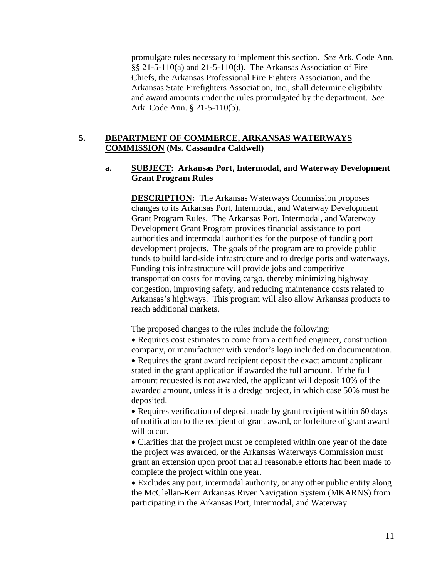promulgate rules necessary to implement this section. *See* Ark. Code Ann. §§ 21-5-110(a) and 21-5-110(d). The Arkansas Association of Fire Chiefs, the Arkansas Professional Fire Fighters Association, and the Arkansas State Firefighters Association, Inc., shall determine eligibility and award amounts under the rules promulgated by the department. *See* Ark. Code Ann. § 21-5-110(b).

## **5. DEPARTMENT OF COMMERCE, ARKANSAS WATERWAYS COMMISSION (Ms. Cassandra Caldwell)**

## **a. SUBJECT: Arkansas Port, Intermodal, and Waterway Development Grant Program Rules**

**DESCRIPTION:** The Arkansas Waterways Commission proposes changes to its Arkansas Port, Intermodal, and Waterway Development Grant Program Rules. The Arkansas Port, Intermodal, and Waterway Development Grant Program provides financial assistance to port authorities and intermodal authorities for the purpose of funding port development projects. The goals of the program are to provide public funds to build land-side infrastructure and to dredge ports and waterways. Funding this infrastructure will provide jobs and competitive transportation costs for moving cargo, thereby minimizing highway congestion, improving safety, and reducing maintenance costs related to Arkansas's highways. This program will also allow Arkansas products to reach additional markets.

The proposed changes to the rules include the following:

 Requires cost estimates to come from a certified engineer, construction company, or manufacturer with vendor's logo included on documentation. • Requires the grant award recipient deposit the exact amount applicant stated in the grant application if awarded the full amount. If the full amount requested is not awarded, the applicant will deposit 10% of the awarded amount, unless it is a dredge project, in which case 50% must be deposited.

• Requires verification of deposit made by grant recipient within 60 days of notification to the recipient of grant award, or forfeiture of grant award will occur.

 Clarifies that the project must be completed within one year of the date the project was awarded, or the Arkansas Waterways Commission must grant an extension upon proof that all reasonable efforts had been made to complete the project within one year.

 Excludes any port, intermodal authority, or any other public entity along the McClellan-Kerr Arkansas River Navigation System (MKARNS) from participating in the Arkansas Port, Intermodal, and Waterway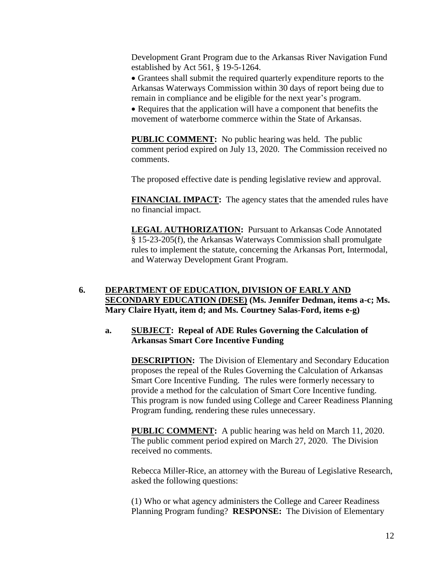Development Grant Program due to the Arkansas River Navigation Fund established by Act 561, § 19-5-1264.

 Grantees shall submit the required quarterly expenditure reports to the Arkansas Waterways Commission within 30 days of report being due to remain in compliance and be eligible for the next year's program.

• Requires that the application will have a component that benefits the movement of waterborne commerce within the State of Arkansas.

**PUBLIC COMMENT:** No public hearing was held. The public comment period expired on July 13, 2020. The Commission received no comments.

The proposed effective date is pending legislative review and approval.

**FINANCIAL IMPACT:** The agency states that the amended rules have no financial impact.

**LEGAL AUTHORIZATION:** Pursuant to Arkansas Code Annotated § 15-23-205(f), the Arkansas Waterways Commission shall promulgate rules to implement the statute, concerning the Arkansas Port, Intermodal, and Waterway Development Grant Program.

# **6. DEPARTMENT OF EDUCATION, DIVISION OF EARLY AND SECONDARY EDUCATION (DESE) (Ms. Jennifer Dedman, items a-c; Ms. Mary Claire Hyatt, item d; and Ms. Courtney Salas-Ford, items e-g)**

## **a. SUBJECT: Repeal of ADE Rules Governing the Calculation of Arkansas Smart Core Incentive Funding**

**DESCRIPTION:** The Division of Elementary and Secondary Education proposes the repeal of the Rules Governing the Calculation of Arkansas Smart Core Incentive Funding. The rules were formerly necessary to provide a method for the calculation of Smart Core Incentive funding. This program is now funded using College and Career Readiness Planning Program funding, rendering these rules unnecessary.

**PUBLIC COMMENT:** A public hearing was held on March 11, 2020. The public comment period expired on March 27, 2020. The Division received no comments.

Rebecca Miller-Rice, an attorney with the Bureau of Legislative Research, asked the following questions:

(1) Who or what agency administers the College and Career Readiness Planning Program funding? **RESPONSE:** The Division of Elementary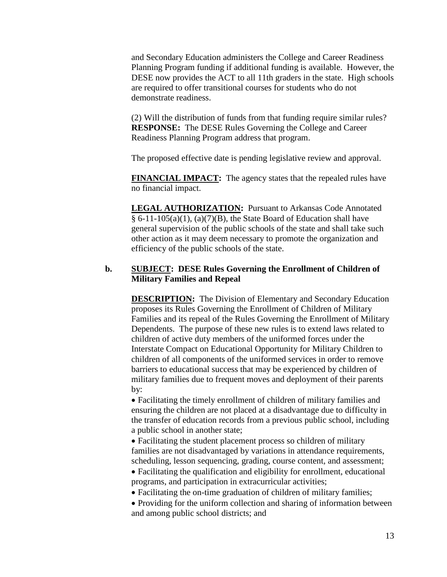and Secondary Education administers the College and Career Readiness Planning Program funding if additional funding is available. However, the DESE now provides the ACT to all 11th graders in the state. High schools are required to offer transitional courses for students who do not demonstrate readiness.

(2) Will the distribution of funds from that funding require similar rules? **RESPONSE:** The DESE Rules Governing the College and Career Readiness Planning Program address that program.

The proposed effective date is pending legislative review and approval.

**FINANCIAL IMPACT:** The agency states that the repealed rules have no financial impact.

**LEGAL AUTHORIZATION:** Pursuant to Arkansas Code Annotated  $§ 6-11-105(a)(1), (a)(7)(B)$ , the State Board of Education shall have general supervision of the public schools of the state and shall take such other action as it may deem necessary to promote the organization and efficiency of the public schools of the state.

## **b. SUBJECT: DESE Rules Governing the Enrollment of Children of Military Families and Repeal**

**DESCRIPTION:** The Division of Elementary and Secondary Education proposes its Rules Governing the Enrollment of Children of Military Families and its repeal of the Rules Governing the Enrollment of Military Dependents. The purpose of these new rules is to extend laws related to children of active duty members of the uniformed forces under the Interstate Compact on Educational Opportunity for Military Children to children of all components of the uniformed services in order to remove barriers to educational success that may be experienced by children of military families due to frequent moves and deployment of their parents by:

 Facilitating the timely enrollment of children of military families and ensuring the children are not placed at a disadvantage due to difficulty in the transfer of education records from a previous public school, including a public school in another state;

 Facilitating the student placement process so children of military families are not disadvantaged by variations in attendance requirements, scheduling, lesson sequencing, grading, course content, and assessment;

 Facilitating the qualification and eligibility for enrollment, educational programs, and participation in extracurricular activities;

Facilitating the on-time graduation of children of military families;

• Providing for the uniform collection and sharing of information between and among public school districts; and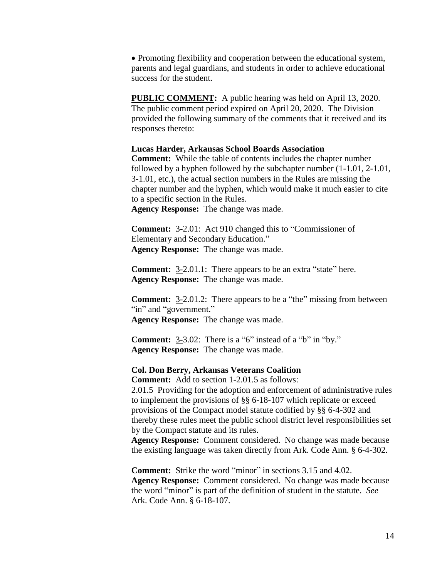• Promoting flexibility and cooperation between the educational system, parents and legal guardians, and students in order to achieve educational success for the student.

**PUBLIC COMMENT:** A public hearing was held on April 13, 2020. The public comment period expired on April 20, 2020. The Division provided the following summary of the comments that it received and its responses thereto:

#### **Lucas Harder, Arkansas School Boards Association**

**Comment:** While the table of contents includes the chapter number followed by a hyphen followed by the subchapter number (1-1.01, 2-1.01, 3-1.01, etc.), the actual section numbers in the Rules are missing the chapter number and the hyphen, which would make it much easier to cite to a specific section in the Rules.

**Agency Response:** The change was made.

**Comment:** 3-2.01: Act 910 changed this to "Commissioner of Elementary and Secondary Education." **Agency Response:** The change was made.

**Comment:** 3-2.01.1: There appears to be an extra "state" here. **Agency Response:** The change was made.

**Comment:** 3-2.01.2: There appears to be a "the" missing from between "in" and "government." **Agency Response:** The change was made.

**Comment:** 3-3.02: There is a "6" instead of a "b" in "by." **Agency Response:** The change was made.

#### **Col. Don Berry, Arkansas Veterans Coalition**

**Comment:** Add to section 1-2.01.5 as follows:

2.01.5 Providing for the adoption and enforcement of administrative rules to implement the provisions of §§ 6-18-107 which replicate or exceed provisions of the Compact model statute codified by §§ 6-4-302 and thereby these rules meet the public school district level responsibilities set by the Compact statute and its rules.

**Agency Response:** Comment considered. No change was made because the existing language was taken directly from Ark. Code Ann. § 6-4-302.

**Comment:** Strike the word "minor" in sections 3.15 and 4.02. **Agency Response:** Comment considered. No change was made because the word "minor" is part of the definition of student in the statute. *See* Ark. Code Ann. § 6-18-107.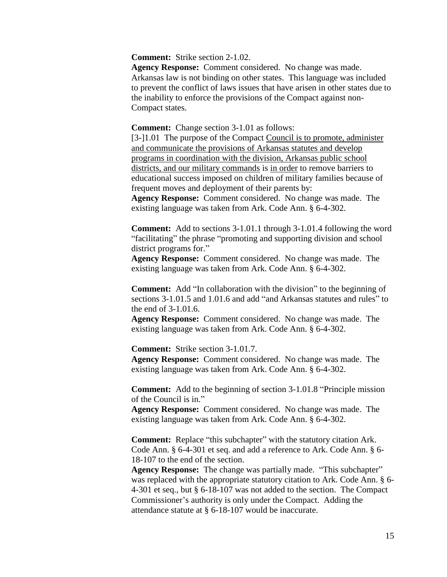**Comment:** Strike section 2-1.02.

**Agency Response:** Comment considered. No change was made. Arkansas law is not binding on other states. This language was included to prevent the conflict of laws issues that have arisen in other states due to the inability to enforce the provisions of the Compact against non-Compact states.

#### **Comment:** Change section 3-1.01 as follows:

[3-] 1.01 The purpose of the Compact Council is to promote, administer and communicate the provisions of Arkansas statutes and develop programs in coordination with the division, Arkansas public school districts, and our military commands is in order to remove barriers to educational success imposed on children of military families because of frequent moves and deployment of their parents by:

**Agency Response:** Comment considered. No change was made. The existing language was taken from Ark. Code Ann. § 6-4-302.

**Comment:** Add to sections 3-1.01.1 through 3-1.01.4 following the word "facilitating" the phrase "promoting and supporting division and school district programs for."

**Agency Response:** Comment considered. No change was made. The existing language was taken from Ark. Code Ann. § 6-4-302.

**Comment:** Add "In collaboration with the division" to the beginning of sections 3-1.01.5 and 1.01.6 and add "and Arkansas statutes and rules" to the end of 3-1.01.6.

**Agency Response:** Comment considered. No change was made. The existing language was taken from Ark. Code Ann. § 6-4-302.

**Comment:** Strike section 3-1.01.7.

**Agency Response:** Comment considered. No change was made. The existing language was taken from Ark. Code Ann. § 6-4-302.

**Comment:** Add to the beginning of section 3-1.01.8 "Principle mission of the Council is in."

**Agency Response:** Comment considered. No change was made. The existing language was taken from Ark. Code Ann. § 6-4-302.

**Comment:** Replace "this subchapter" with the statutory citation Ark. Code Ann. § 6-4-301 et seq. and add a reference to Ark. Code Ann. § 6- 18-107 to the end of the section.

**Agency Response:** The change was partially made. "This subchapter" was replaced with the appropriate statutory citation to Ark. Code Ann. § 6- 4-301 et seq., but § 6-18-107 was not added to the section. The Compact Commissioner's authority is only under the Compact. Adding the attendance statute at § 6-18-107 would be inaccurate.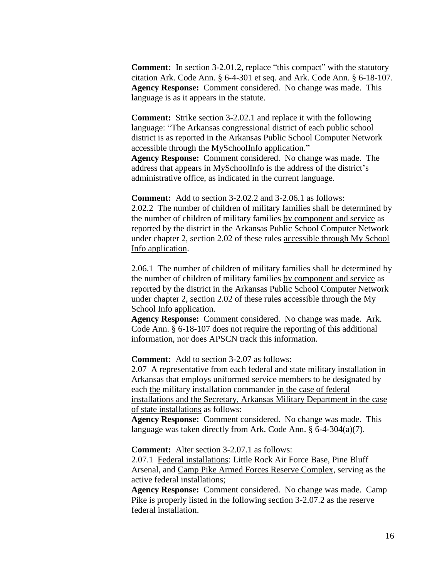**Comment:** In section 3-2.01.2, replace "this compact" with the statutory citation Ark. Code Ann. § 6-4-301 et seq. and Ark. Code Ann. § 6-18-107. **Agency Response:** Comment considered. No change was made. This language is as it appears in the statute.

**Comment:** Strike section 3-2.02.1 and replace it with the following language: "The Arkansas congressional district of each public school district is as reported in the Arkansas Public School Computer Network accessible through the MySchoolInfo application."

**Agency Response:** Comment considered. No change was made. The address that appears in MySchoolInfo is the address of the district's administrative office, as indicated in the current language.

**Comment:** Add to section 3-2.02.2 and 3-2.06.1 as follows: 2.02.2 The number of children of military families shall be determined by the number of children of military families by component and service as reported by the district in the Arkansas Public School Computer Network under chapter 2, section 2.02 of these rules accessible through My School Info application.

2.06.1 The number of children of military families shall be determined by the number of children of military families by component and service as reported by the district in the Arkansas Public School Computer Network under chapter 2, section 2.02 of these rules accessible through the My School Info application.

**Agency Response:** Comment considered. No change was made. Ark. Code Ann. § 6-18-107 does not require the reporting of this additional information, nor does APSCN track this information.

**Comment:** Add to section 3-2.07 as follows:

2.07 A representative from each federal and state military installation in Arkansas that employs uniformed service members to be designated by each the military installation commander in the case of federal installations and the Secretary, Arkansas Military Department in the case of state installations as follows:

**Agency Response:** Comment considered. No change was made. This language was taken directly from Ark. Code Ann. § 6-4-304(a)(7).

**Comment:** Alter section 3-2.07.1 as follows:

2.07.1 Federal installations: Little Rock Air Force Base, Pine Bluff Arsenal, and Camp Pike Armed Forces Reserve Complex, serving as the active federal installations;

**Agency Response:** Comment considered. No change was made. Camp Pike is properly listed in the following section 3-2.07.2 as the reserve federal installation.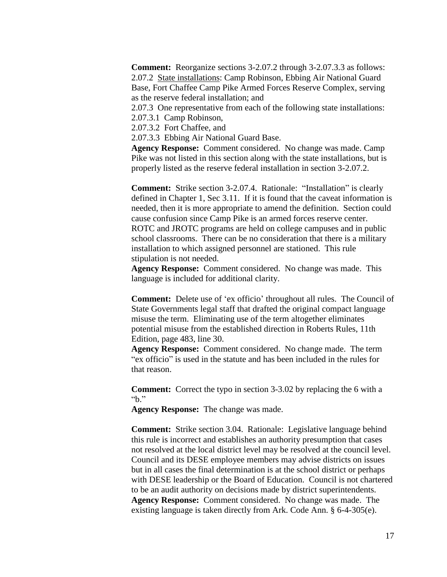**Comment:** Reorganize sections 3-2.07.2 through 3-2.07.3.3 as follows: 2.07.2 State installations: Camp Robinson, Ebbing Air National Guard Base, Fort Chaffee Camp Pike Armed Forces Reserve Complex, serving as the reserve federal installation; and

2.07.3 One representative from each of the following state installations: 2.07.3.1 Camp Robinson,

2.07.3.2 Fort Chaffee, and

2.07.3.3 Ebbing Air National Guard Base.

**Agency Response:** Comment considered. No change was made. Camp Pike was not listed in this section along with the state installations, but is properly listed as the reserve federal installation in section 3-2.07.2.

**Comment:** Strike section 3-2.07.4. Rationale: "Installation" is clearly defined in Chapter 1, Sec 3.11. If it is found that the caveat information is needed, then it is more appropriate to amend the definition. Section could cause confusion since Camp Pike is an armed forces reserve center. ROTC and JROTC programs are held on college campuses and in public school classrooms. There can be no consideration that there is a military installation to which assigned personnel are stationed. This rule stipulation is not needed.

**Agency Response:** Comment considered. No change was made. This language is included for additional clarity.

**Comment:** Delete use of 'ex officio' throughout all rules. The Council of State Governments legal staff that drafted the original compact language misuse the term. Eliminating use of the term altogether eliminates potential misuse from the established direction in Roberts Rules, 11th Edition, page 483, line 30.

**Agency Response:** Comment considered. No change made. The term "ex officio" is used in the statute and has been included in the rules for that reason.

**Comment:** Correct the typo in section 3-3.02 by replacing the 6 with a "b."

**Agency Response:** The change was made.

**Comment:** Strike section 3.04. Rationale: Legislative language behind this rule is incorrect and establishes an authority presumption that cases not resolved at the local district level may be resolved at the council level. Council and its DESE employee members may advise districts on issues but in all cases the final determination is at the school district or perhaps with DESE leadership or the Board of Education. Council is not chartered to be an audit authority on decisions made by district superintendents. **Agency Response:** Comment considered. No change was made. The existing language is taken directly from Ark. Code Ann. § 6-4-305(e).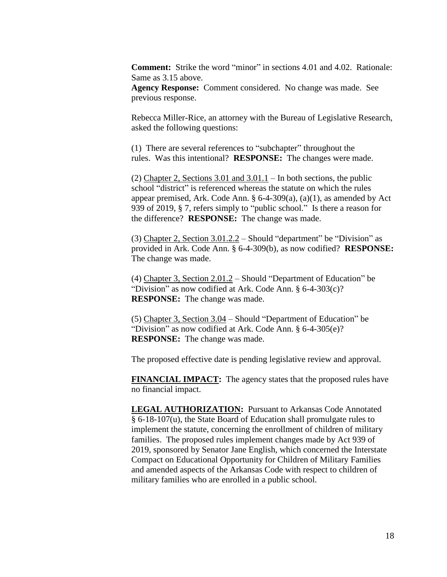**Comment:** Strike the word "minor" in sections 4.01 and 4.02. Rationale: Same as 3.15 above.

**Agency Response:** Comment considered. No change was made. See previous response.

Rebecca Miller-Rice, an attorney with the Bureau of Legislative Research, asked the following questions:

(1) There are several references to "subchapter" throughout the rules. Was this intentional? **RESPONSE:** The changes were made.

(2) Chapter 2, Sections 3.01 and 3.01.1 – In both sections, the public school "district" is referenced whereas the statute on which the rules appear premised, Ark. Code Ann.  $\S$  6-4-309(a), (a)(1), as amended by Act 939 of 2019, § 7, refers simply to "public school." Is there a reason for the difference? **RESPONSE:** The change was made.

(3) Chapter 2, Section  $3.01.2.2$  – Should "department" be "Division" as provided in Ark. Code Ann. § 6-4-309(b), as now codified? **RESPONSE:** The change was made.

(4) Chapter 3, Section 2.01.2 – Should "Department of Education" be "Division" as now codified at Ark. Code Ann. § 6-4-303(c)? **RESPONSE:** The change was made.

(5) Chapter 3, Section 3.04 – Should "Department of Education" be "Division" as now codified at Ark. Code Ann. § 6-4-305(e)? **RESPONSE:** The change was made.

The proposed effective date is pending legislative review and approval.

**FINANCIAL IMPACT:** The agency states that the proposed rules have no financial impact.

**LEGAL AUTHORIZATION:** Pursuant to Arkansas Code Annotated § 6-18-107(u), the State Board of Education shall promulgate rules to implement the statute, concerning the enrollment of children of military families. The proposed rules implement changes made by Act 939 of 2019, sponsored by Senator Jane English, which concerned the Interstate Compact on Educational Opportunity for Children of Military Families and amended aspects of the Arkansas Code with respect to children of military families who are enrolled in a public school.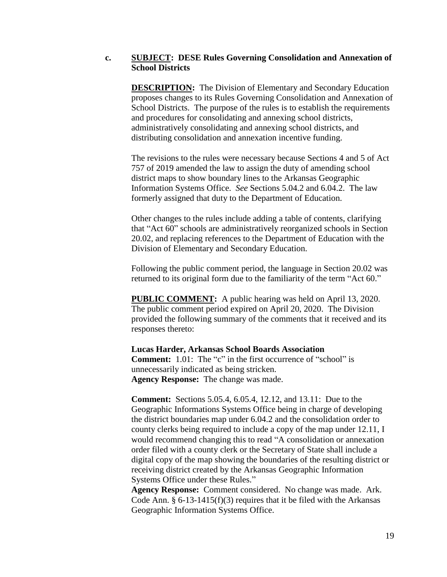#### **c. SUBJECT: DESE Rules Governing Consolidation and Annexation of School Districts**

**DESCRIPTION:** The Division of Elementary and Secondary Education proposes changes to its Rules Governing Consolidation and Annexation of School Districts. The purpose of the rules is to establish the requirements and procedures for consolidating and annexing school districts, administratively consolidating and annexing school districts, and distributing consolidation and annexation incentive funding.

The revisions to the rules were necessary because Sections 4 and 5 of Act 757 of 2019 amended the law to assign the duty of amending school district maps to show boundary lines to the Arkansas Geographic Information Systems Office. *See* Sections 5.04.2 and 6.04.2. The law formerly assigned that duty to the Department of Education.

Other changes to the rules include adding a table of contents, clarifying that "Act 60" schools are administratively reorganized schools in Section 20.02, and replacing references to the Department of Education with the Division of Elementary and Secondary Education.

Following the public comment period, the language in Section 20.02 was returned to its original form due to the familiarity of the term "Act 60."

**PUBLIC COMMENT:** A public hearing was held on April 13, 2020. The public comment period expired on April 20, 2020. The Division provided the following summary of the comments that it received and its responses thereto:

**Lucas Harder, Arkansas School Boards Association Comment:** 1.01: The "c" in the first occurrence of "school" is unnecessarily indicated as being stricken. **Agency Response:** The change was made.

**Comment:** Sections 5.05.4, 6.05.4, 12.12, and 13.11: Due to the Geographic Informations Systems Office being in charge of developing the district boundaries map under 6.04.2 and the consolidation order to county clerks being required to include a copy of the map under 12.11, I would recommend changing this to read "A consolidation or annexation order filed with a county clerk or the Secretary of State shall include a digital copy of the map showing the boundaries of the resulting district or receiving district created by the Arkansas Geographic Information Systems Office under these Rules."

**Agency Response:** Comment considered. No change was made. Ark. Code Ann.  $\S 6$ -13-1415(f)(3) requires that it be filed with the Arkansas Geographic Information Systems Office.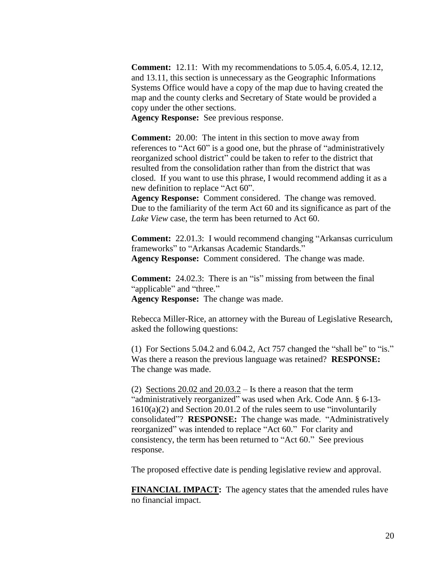**Comment:** 12.11: With my recommendations to 5.05.4, 6.05.4, 12.12, and 13.11, this section is unnecessary as the Geographic Informations Systems Office would have a copy of the map due to having created the map and the county clerks and Secretary of State would be provided a copy under the other sections.

**Agency Response:** See previous response.

**Comment:** 20.00: The intent in this section to move away from references to "Act 60" is a good one, but the phrase of "administratively reorganized school district" could be taken to refer to the district that resulted from the consolidation rather than from the district that was closed. If you want to use this phrase, I would recommend adding it as a new definition to replace "Act 60".

**Agency Response:** Comment considered. The change was removed. Due to the familiarity of the term Act 60 and its significance as part of the *Lake View* case, the term has been returned to Act 60.

**Comment:** 22.01.3: I would recommend changing "Arkansas curriculum frameworks" to "Arkansas Academic Standards." **Agency Response:** Comment considered. The change was made.

**Comment:** 24.02.3: There is an "is" missing from between the final "applicable" and "three." **Agency Response:** The change was made.

Rebecca Miller-Rice, an attorney with the Bureau of Legislative Research, asked the following questions:

(1) For Sections 5.04.2 and 6.04.2, Act 757 changed the "shall be" to "is." Was there a reason the previous language was retained? **RESPONSE:** The change was made.

(2) Sections  $20.02$  and  $20.03.2 -$  Is there a reason that the term "administratively reorganized" was used when Ark. Code Ann. § 6-13- 1610(a)(2) and Section 20.01.2 of the rules seem to use "involuntarily consolidated"? **RESPONSE:** The change was made. "Administratively reorganized" was intended to replace "Act 60." For clarity and consistency, the term has been returned to "Act 60." See previous response.

The proposed effective date is pending legislative review and approval.

**FINANCIAL IMPACT:** The agency states that the amended rules have no financial impact.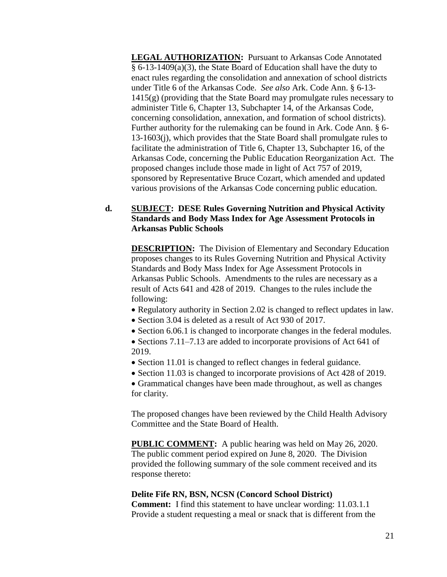**LEGAL AUTHORIZATION:** Pursuant to Arkansas Code Annotated § 6-13-1409(a)(3), the State Board of Education shall have the duty to enact rules regarding the consolidation and annexation of school districts under Title 6 of the Arkansas Code. *See also* Ark. Code Ann. § 6-13- 1415(g) (providing that the State Board may promulgate rules necessary to administer Title 6, Chapter 13, Subchapter 14, of the Arkansas Code, concerning consolidation, annexation, and formation of school districts). Further authority for the rulemaking can be found in Ark. Code Ann. § 6- 13-1603(j), which provides that the State Board shall promulgate rules to facilitate the administration of Title 6, Chapter 13, Subchapter 16, of the Arkansas Code, concerning the Public Education Reorganization Act. The proposed changes include those made in light of Act 757 of 2019, sponsored by Representative Bruce Cozart, which amended and updated various provisions of the Arkansas Code concerning public education.

# **d. SUBJECT: DESE Rules Governing Nutrition and Physical Activity Standards and Body Mass Index for Age Assessment Protocols in Arkansas Public Schools**

**DESCRIPTION:** The Division of Elementary and Secondary Education proposes changes to its Rules Governing Nutrition and Physical Activity Standards and Body Mass Index for Age Assessment Protocols in Arkansas Public Schools. Amendments to the rules are necessary as a result of Acts 641 and 428 of 2019. Changes to the rules include the following:

- Regulatory authority in Section 2.02 is changed to reflect updates in law.
- Section 3.04 is deleted as a result of Act 930 of 2017.
- Section 6.06.1 is changed to incorporate changes in the federal modules.
- Sections 7.11–7.13 are added to incorporate provisions of Act 641 of 2019.
- Section 11.01 is changed to reflect changes in federal guidance.
- Section 11.03 is changed to incorporate provisions of Act 428 of 2019.

 Grammatical changes have been made throughout, as well as changes for clarity.

The proposed changes have been reviewed by the Child Health Advisory Committee and the State Board of Health.

**PUBLIC COMMENT:** A public hearing was held on May 26, 2020. The public comment period expired on June 8, 2020. The Division provided the following summary of the sole comment received and its response thereto:

#### **Delite Fife RN, BSN, NCSN (Concord School District)**

**Comment:** I find this statement to have unclear wording: 11.03.1.1 Provide a student requesting a meal or snack that is different from the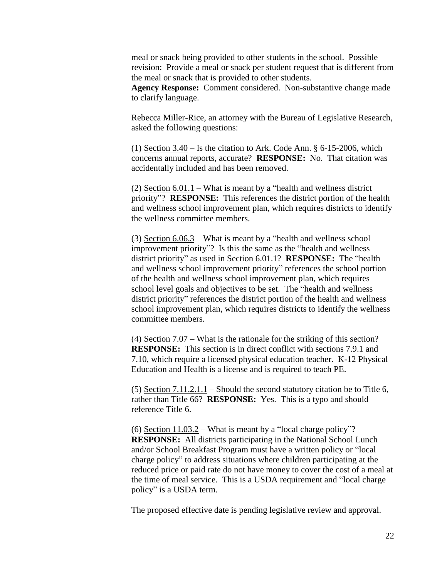meal or snack being provided to other students in the school. Possible revision: Provide a meal or snack per student request that is different from the meal or snack that is provided to other students.

**Agency Response:** Comment considered. Non-substantive change made to clarify language.

Rebecca Miller-Rice, an attorney with the Bureau of Legislative Research, asked the following questions:

(1) Section  $3.40$  – Is the citation to Ark. Code Ann. § 6-15-2006, which concerns annual reports, accurate? **RESPONSE:** No. That citation was accidentally included and has been removed.

(2) Section  $6.01.1$  – What is meant by a "health and wellness district priority"? **RESPONSE:** This references the district portion of the health and wellness school improvement plan, which requires districts to identify the wellness committee members.

(3) Section  $6.06.3$  – What is meant by a "health and wellness school improvement priority"? Is this the same as the "health and wellness district priority" as used in Section 6.01.1? **RESPONSE:** The "health and wellness school improvement priority" references the school portion of the health and wellness school improvement plan, which requires school level goals and objectives to be set. The "health and wellness district priority" references the district portion of the health and wellness school improvement plan, which requires districts to identify the wellness committee members.

(4) Section 7.07 – What is the rationale for the striking of this section? **RESPONSE:** This section is in direct conflict with sections 7.9.1 and 7.10, which require a licensed physical education teacher. K-12 Physical Education and Health is a license and is required to teach PE.

(5) Section 7.11.2.1.1 – Should the second statutory citation be to Title 6, rather than Title 66? **RESPONSE:** Yes. This is a typo and should reference Title 6.

(6) Section 11.03.2 – What is meant by a "local charge policy"? **RESPONSE:** All districts participating in the National School Lunch and/or School Breakfast Program must have a written policy or "local charge policy" to address situations where children participating at the reduced price or paid rate do not have money to cover the cost of a meal at the time of meal service. This is a USDA requirement and "local charge policy" is a USDA term.

The proposed effective date is pending legislative review and approval.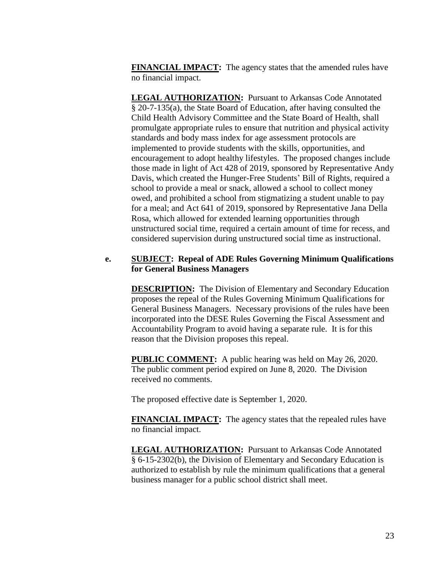**FINANCIAL IMPACT:** The agency states that the amended rules have no financial impact.

**LEGAL AUTHORIZATION:** Pursuant to Arkansas Code Annotated § 20-7-135(a), the State Board of Education, after having consulted the Child Health Advisory Committee and the State Board of Health, shall promulgate appropriate rules to ensure that nutrition and physical activity standards and body mass index for age assessment protocols are implemented to provide students with the skills, opportunities, and encouragement to adopt healthy lifestyles. The proposed changes include those made in light of Act 428 of 2019, sponsored by Representative Andy Davis, which created the Hunger-Free Students' Bill of Rights, required a school to provide a meal or snack, allowed a school to collect money owed, and prohibited a school from stigmatizing a student unable to pay for a meal; and Act 641 of 2019, sponsored by Representative Jana Della Rosa, which allowed for extended learning opportunities through unstructured social time, required a certain amount of time for recess, and considered supervision during unstructured social time as instructional.

#### **e. SUBJECT: Repeal of ADE Rules Governing Minimum Qualifications for General Business Managers**

**DESCRIPTION:** The Division of Elementary and Secondary Education proposes the repeal of the Rules Governing Minimum Qualifications for General Business Managers. Necessary provisions of the rules have been incorporated into the DESE Rules Governing the Fiscal Assessment and Accountability Program to avoid having a separate rule. It is for this reason that the Division proposes this repeal.

**PUBLIC COMMENT:** A public hearing was held on May 26, 2020. The public comment period expired on June 8, 2020. The Division received no comments.

The proposed effective date is September 1, 2020.

**FINANCIAL IMPACT:** The agency states that the repealed rules have no financial impact.

**LEGAL AUTHORIZATION:** Pursuant to Arkansas Code Annotated § 6-15-2302(b), the Division of Elementary and Secondary Education is authorized to establish by rule the minimum qualifications that a general business manager for a public school district shall meet.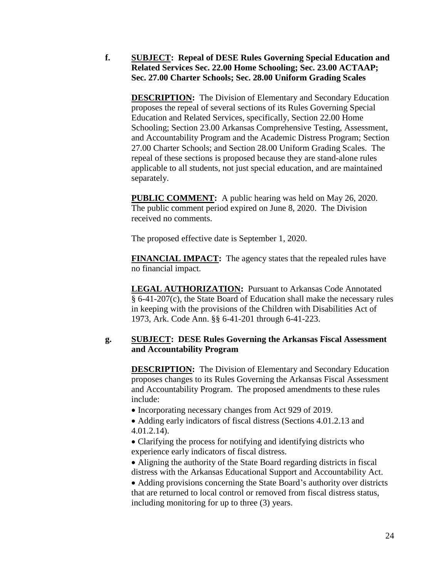**f. SUBJECT: Repeal of DESE Rules Governing Special Education and Related Services Sec. 22.00 Home Schooling; Sec. 23.00 ACTAAP; Sec. 27.00 Charter Schools; Sec. 28.00 Uniform Grading Scales**

**DESCRIPTION:** The Division of Elementary and Secondary Education proposes the repeal of several sections of its Rules Governing Special Education and Related Services, specifically, Section 22.00 Home Schooling; Section 23.00 Arkansas Comprehensive Testing, Assessment, and Accountability Program and the Academic Distress Program; Section 27.00 Charter Schools; and Section 28.00 Uniform Grading Scales. The repeal of these sections is proposed because they are stand-alone rules applicable to all students, not just special education, and are maintained separately.

**PUBLIC COMMENT:** A public hearing was held on May 26, 2020. The public comment period expired on June 8, 2020. The Division received no comments.

The proposed effective date is September 1, 2020.

**FINANCIAL IMPACT:** The agency states that the repealed rules have no financial impact.

**LEGAL AUTHORIZATION:** Pursuant to Arkansas Code Annotated § 6-41-207(c), the State Board of Education shall make the necessary rules in keeping with the provisions of the Children with Disabilities Act of 1973, Ark. Code Ann. §§ 6-41-201 through 6-41-223.

# **g. SUBJECT: DESE Rules Governing the Arkansas Fiscal Assessment and Accountability Program**

**DESCRIPTION:** The Division of Elementary and Secondary Education proposes changes to its Rules Governing the Arkansas Fiscal Assessment and Accountability Program. The proposed amendments to these rules include:

• Incorporating necessary changes from Act 929 of 2019.

 Adding early indicators of fiscal distress (Sections 4.01.2.13 and 4.01.2.14).

 Clarifying the process for notifying and identifying districts who experience early indicators of fiscal distress.

 Aligning the authority of the State Board regarding districts in fiscal distress with the Arkansas Educational Support and Accountability Act.

 Adding provisions concerning the State Board's authority over districts that are returned to local control or removed from fiscal distress status, including monitoring for up to three (3) years.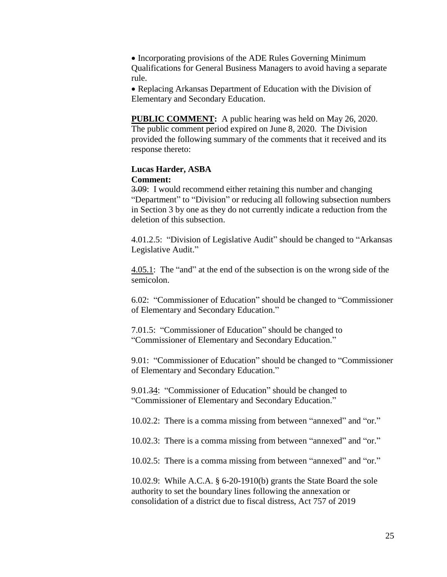• Incorporating provisions of the ADE Rules Governing Minimum Qualifications for General Business Managers to avoid having a separate rule.

• Replacing Arkansas Department of Education with the Division of Elementary and Secondary Education.

**PUBLIC COMMENT:** A public hearing was held on May 26, 2020. The public comment period expired on June 8, 2020. The Division provided the following summary of the comments that it received and its response thereto:

#### **Lucas Harder, ASBA Comment:**

3.09: I would recommend either retaining this number and changing "Department" to "Division" or reducing all following subsection numbers in Section 3 by one as they do not currently indicate a reduction from the deletion of this subsection.

4.01.2.5: "Division of Legislative Audit" should be changed to "Arkansas Legislative Audit."

4.05.1: The "and" at the end of the subsection is on the wrong side of the semicolon.

6.02: "Commissioner of Education" should be changed to "Commissioner of Elementary and Secondary Education."

7.01.5: "Commissioner of Education" should be changed to "Commissioner of Elementary and Secondary Education."

9.01: "Commissioner of Education" should be changed to "Commissioner of Elementary and Secondary Education."

9.01.34: "Commissioner of Education" should be changed to "Commissioner of Elementary and Secondary Education."

10.02.2: There is a comma missing from between "annexed" and "or."

10.02.3: There is a comma missing from between "annexed" and "or."

10.02.5: There is a comma missing from between "annexed" and "or."

10.02.9: While A.C.A. § 6-20-1910(b) grants the State Board the sole authority to set the boundary lines following the annexation or consolidation of a district due to fiscal distress, Act 757 of 2019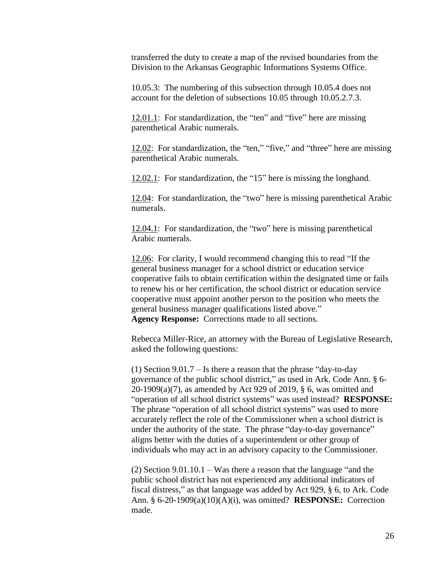transferred the duty to create a map of the revised boundaries from the Division to the Arkansas Geographic Informations Systems Office.

10.05.3: The numbering of this subsection through 10.05.4 does not account for the deletion of subsections 10.05 through 10.05.2.7.3.

12.01.1: For standardization, the "ten" and "five" here are missing parenthetical Arabic numerals.

12.02: For standardization, the "ten," "five," and "three" here are missing parenthetical Arabic numerals.

12.02.1: For standardization, the "15" here is missing the longhand.

12.04: For standardization, the "two" here is missing parenthetical Arabic numerals.

12.04.1: For standardization, the "two" here is missing parenthetical Arabic numerals.

12.06: For clarity, I would recommend changing this to read "If the general business manager for a school district or education service cooperative fails to obtain certification within the designated time or fails to renew his or her certification, the school district or education service cooperative must appoint another person to the position who meets the general business manager qualifications listed above." **Agency Response:** Corrections made to all sections.

Rebecca Miller-Rice, an attorney with the Bureau of Legislative Research, asked the following questions:

(1) Section 9.01.7 – Is there a reason that the phrase "day-to-day governance of the public school district," as used in Ark. Code Ann. § 6- 20-1909(a)(7), as amended by Act 929 of 2019, § 6, was omitted and "operation of all school district systems" was used instead? **RESPONSE:** The phrase "operation of all school district systems" was used to more accurately reflect the role of the Commissioner when a school district is under the authority of the state. The phrase "day-to-day governance" aligns better with the duties of a superintendent or other group of individuals who may act in an advisory capacity to the Commissioner.

(2) Section 9.01.10.1 – Was there a reason that the language "and the public school district has not experienced any additional indicators of fiscal distress," as that language was added by Act 929, § 6, to Ark. Code Ann. § 6-20-1909(a)(10)(A)(i), was omitted? **RESPONSE:** Correction made.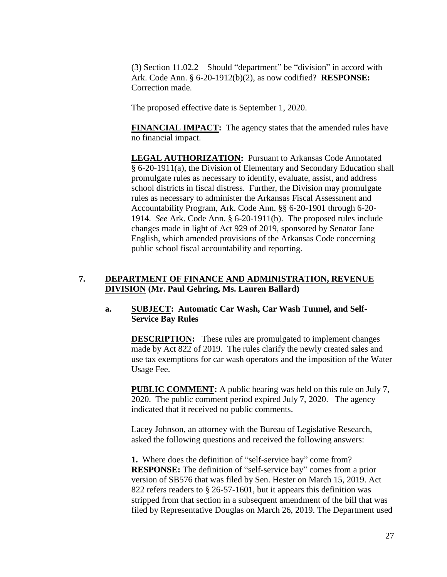(3) Section 11.02.2 – Should "department" be "division" in accord with Ark. Code Ann. § 6-20-1912(b)(2), as now codified? **RESPONSE:** Correction made.

The proposed effective date is September 1, 2020.

**FINANCIAL IMPACT:** The agency states that the amended rules have no financial impact.

**LEGAL AUTHORIZATION:** Pursuant to Arkansas Code Annotated § 6-20-1911(a), the Division of Elementary and Secondary Education shall promulgate rules as necessary to identify, evaluate, assist, and address school districts in fiscal distress. Further, the Division may promulgate rules as necessary to administer the Arkansas Fiscal Assessment and Accountability Program, Ark. Code Ann. §§ 6-20-1901 through 6-20- 1914. *See* Ark. Code Ann. § 6-20-1911(b). The proposed rules include changes made in light of Act 929 of 2019, sponsored by Senator Jane English, which amended provisions of the Arkansas Code concerning public school fiscal accountability and reporting.

## **7. DEPARTMENT OF FINANCE AND ADMINISTRATION, REVENUE DIVISION (Mr. Paul Gehring, Ms. Lauren Ballard)**

## **a. SUBJECT: Automatic Car Wash, Car Wash Tunnel, and Self-Service Bay Rules**

**DESCRIPTION:** These rules are promulgated to implement changes made by Act 822 of 2019. The rules clarify the newly created sales and use tax exemptions for car wash operators and the imposition of the Water Usage Fee.

**PUBLIC COMMENT:** A public hearing was held on this rule on July 7, 2020. The public comment period expired July 7, 2020. The agency indicated that it received no public comments.

Lacey Johnson, an attorney with the Bureau of Legislative Research, asked the following questions and received the following answers:

**1.** Where does the definition of "self-service bay" come from? **RESPONSE:** The definition of "self-service bay" comes from a prior version of SB576 that was filed by Sen. Hester on March 15, 2019. Act 822 refers readers to § 26-57-1601, but it appears this definition was stripped from that section in a subsequent amendment of the bill that was filed by Representative Douglas on March 26, 2019. The Department used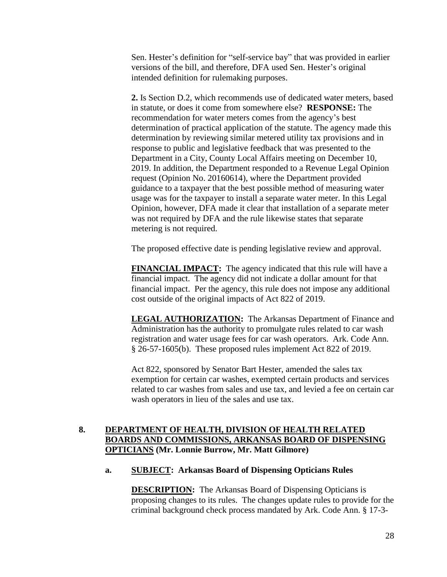Sen. Hester's definition for "self-service bay" that was provided in earlier versions of the bill, and therefore, DFA used Sen. Hester's original intended definition for rulemaking purposes.

**2.** Is Section D.2, which recommends use of dedicated water meters, based in statute, or does it come from somewhere else? **RESPONSE:** The recommendation for water meters comes from the agency's best determination of practical application of the statute. The agency made this determination by reviewing similar metered utility tax provisions and in response to public and legislative feedback that was presented to the Department in a City, County Local Affairs meeting on December 10, 2019. In addition, the Department responded to a Revenue Legal Opinion request (Opinion No. 20160614), where the Department provided guidance to a taxpayer that the best possible method of measuring water usage was for the taxpayer to install a separate water meter. In this Legal Opinion, however, DFA made it clear that installation of a separate meter was not required by DFA and the rule likewise states that separate metering is not required.

The proposed effective date is pending legislative review and approval.

**FINANCIAL IMPACT:** The agency indicated that this rule will have a financial impact. The agency did not indicate a dollar amount for that financial impact. Per the agency, this rule does not impose any additional cost outside of the original impacts of Act 822 of 2019.

**LEGAL AUTHORIZATION:** The Arkansas Department of Finance and Administration has the authority to promulgate rules related to car wash registration and water usage fees for car wash operators. Ark. Code Ann. § 26-57-1605(b). These proposed rules implement Act 822 of 2019.

Act 822, sponsored by Senator Bart Hester, amended the sales tax exemption for certain car washes, exempted certain products and services related to car washes from sales and use tax, and levied a fee on certain car wash operators in lieu of the sales and use tax.

# **8. DEPARTMENT OF HEALTH, DIVISION OF HEALTH RELATED BOARDS AND COMMISSIONS, ARKANSAS BOARD OF DISPENSING OPTICIANS (Mr. Lonnie Burrow, Mr. Matt Gilmore)**

## **a. SUBJECT: Arkansas Board of Dispensing Opticians Rules**

**DESCRIPTION:** The Arkansas Board of Dispensing Opticians is proposing changes to its rules. The changes update rules to provide for the criminal background check process mandated by Ark. Code Ann. § 17-3-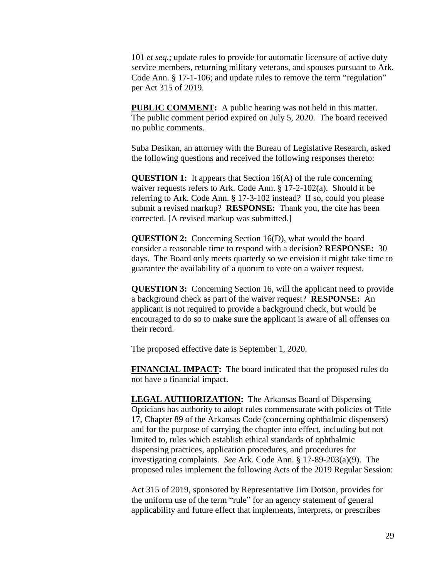101 *et seq.*; update rules to provide for automatic licensure of active duty service members, returning military veterans, and spouses pursuant to Ark. Code Ann. § 17-1-106; and update rules to remove the term "regulation" per Act 315 of 2019.

**PUBLIC COMMENT:** A public hearing was not held in this matter. The public comment period expired on July 5, 2020. The board received no public comments.

Suba Desikan, an attorney with the Bureau of Legislative Research, asked the following questions and received the following responses thereto:

**QUESTION 1:** It appears that Section 16(A) of the rule concerning waiver requests refers to Ark. Code Ann. § 17-2-102(a). Should it be referring to Ark. Code Ann. § 17-3-102 instead? If so, could you please submit a revised markup? **RESPONSE:** Thank you, the cite has been corrected. [A revised markup was submitted.]

**QUESTION 2:** Concerning Section 16(D), what would the board consider a reasonable time to respond with a decision? **RESPONSE:** 30 days. The Board only meets quarterly so we envision it might take time to guarantee the availability of a quorum to vote on a waiver request.

**QUESTION 3:** Concerning Section 16, will the applicant need to provide a background check as part of the waiver request? **RESPONSE:** An applicant is not required to provide a background check, but would be encouraged to do so to make sure the applicant is aware of all offenses on their record.

The proposed effective date is September 1, 2020.

**FINANCIAL IMPACT:** The board indicated that the proposed rules do not have a financial impact.

**LEGAL AUTHORIZATION:** The Arkansas Board of Dispensing Opticians has authority to adopt rules commensurate with policies of Title 17, Chapter 89 of the Arkansas Code (concerning ophthalmic dispensers) and for the purpose of carrying the chapter into effect, including but not limited to, rules which establish ethical standards of ophthalmic dispensing practices, application procedures, and procedures for investigating complaints. *See* Ark. Code Ann. § 17-89-203(a)(9). The proposed rules implement the following Acts of the 2019 Regular Session:

Act 315 of 2019, sponsored by Representative Jim Dotson, provides for the uniform use of the term "rule" for an agency statement of general applicability and future effect that implements, interprets, or prescribes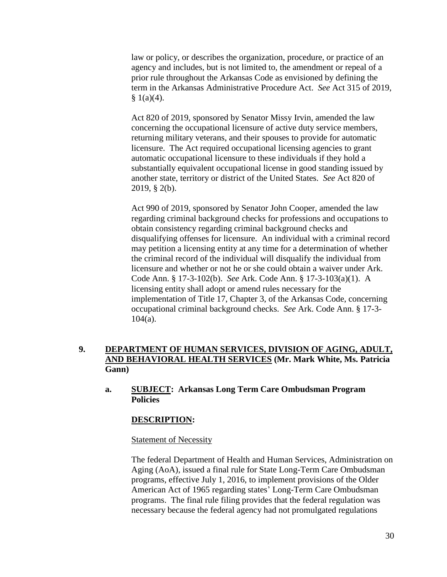law or policy, or describes the organization, procedure, or practice of an agency and includes, but is not limited to, the amendment or repeal of a prior rule throughout the Arkansas Code as envisioned by defining the term in the Arkansas Administrative Procedure Act. *See* Act 315 of 2019,  $$1(a)(4).$ 

Act 820 of 2019, sponsored by Senator Missy Irvin, amended the law concerning the occupational licensure of active duty service members, returning military veterans, and their spouses to provide for automatic licensure. The Act required occupational licensing agencies to grant automatic occupational licensure to these individuals if they hold a substantially equivalent occupational license in good standing issued by another state, territory or district of the United States. *See* Act 820 of 2019, § 2(b).

Act 990 of 2019, sponsored by Senator John Cooper, amended the law regarding criminal background checks for professions and occupations to obtain consistency regarding criminal background checks and disqualifying offenses for licensure. An individual with a criminal record may petition a licensing entity at any time for a determination of whether the criminal record of the individual will disqualify the individual from licensure and whether or not he or she could obtain a waiver under Ark. Code Ann. § 17-3-102(b). *See* Ark. Code Ann. § 17-3-103(a)(1). A licensing entity shall adopt or amend rules necessary for the implementation of Title 17, Chapter 3, of the Arkansas Code, concerning occupational criminal background checks. *See* Ark. Code Ann. § 17-3-  $104(a)$ .

# **9. DEPARTMENT OF HUMAN SERVICES, DIVISION OF AGING, ADULT, AND BEHAVIORAL HEALTH SERVICES (Mr. Mark White, Ms. Patricia Gann)**

**a. SUBJECT: Arkansas Long Term Care Ombudsman Program Policies**

## **DESCRIPTION:**

#### Statement of Necessity

The federal Department of Health and Human Services, Administration on Aging (AoA), issued a final rule for State Long-Term Care Ombudsman programs, effective July 1, 2016, to implement provisions of the Older American Act of 1965 regarding states' Long-Term Care Ombudsman programs. The final rule filing provides that the federal regulation was necessary because the federal agency had not promulgated regulations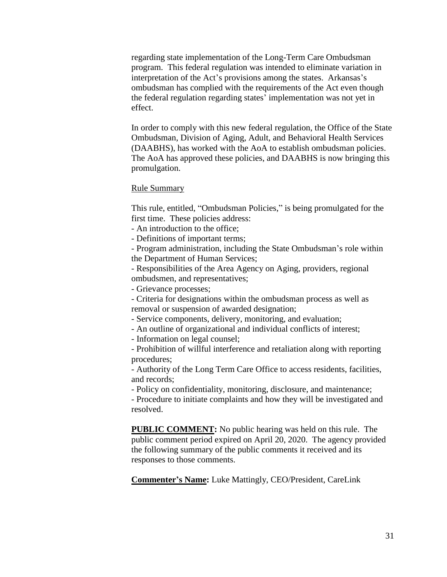regarding state implementation of the Long-Term Care Ombudsman program. This federal regulation was intended to eliminate variation in interpretation of the Act's provisions among the states. Arkansas's ombudsman has complied with the requirements of the Act even though the federal regulation regarding states' implementation was not yet in effect.

In order to comply with this new federal regulation, the Office of the State Ombudsman, Division of Aging, Adult, and Behavioral Health Services (DAABHS), has worked with the AoA to establish ombudsman policies. The AoA has approved these policies, and DAABHS is now bringing this promulgation.

#### Rule Summary

This rule, entitled, "Ombudsman Policies," is being promulgated for the first time. These policies address:

- An introduction to the office;

- Definitions of important terms;

- Program administration, including the State Ombudsman's role within the Department of Human Services;

- Responsibilities of the Area Agency on Aging, providers, regional ombudsmen, and representatives;

- Grievance processes;

- Criteria for designations within the ombudsman process as well as removal or suspension of awarded designation;

- Service components, delivery, monitoring, and evaluation;

- An outline of organizational and individual conflicts of interest;

- Information on legal counsel;

- Prohibition of willful interference and retaliation along with reporting procedures;

- Authority of the Long Term Care Office to access residents, facilities, and records;

- Policy on confidentiality, monitoring, disclosure, and maintenance;

- Procedure to initiate complaints and how they will be investigated and resolved.

**PUBLIC COMMENT:** No public hearing was held on this rule. The public comment period expired on April 20, 2020. The agency provided the following summary of the public comments it received and its responses to those comments.

**Commenter's Name:** Luke Mattingly, CEO/President, CareLink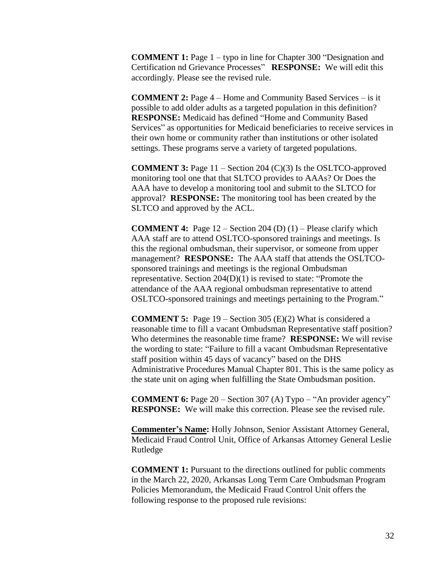**COMMENT 1:** Page 1 – typo in line for Chapter 300 "Designation and Certification nd Grievance Processes" **RESPONSE:** We will edit this accordingly. Please see the revised rule.

**COMMENT 2:** Page 4 – Home and Community Based Services – is it possible to add older adults as a targeted population in this definition? **RESPONSE:** Medicaid has defined "Home and Community Based Services" as opportunities for Medicaid beneficiaries to receive services in their own home or community rather than institutions or other isolated settings. These programs serve a variety of targeted populations.

**COMMENT 3:** Page 11 – Section 204 (C)(3) Is the OSLTCO-approved monitoring tool one that that SLTCO provides to AAAs? Or Does the AAA have to develop a monitoring tool and submit to the SLTCO for approval? **RESPONSE:** The monitoring tool has been created by the SLTCO and approved by the ACL.

**COMMENT 4:** Page 12 – Section 204 (D) (1) – Please clarify which AAA staff are to attend OSLTCO-sponsored trainings and meetings. Is this the regional ombudsman, their supervisor, or someone from upper management? **RESPONSE:** The AAA staff that attends the OSLTCOsponsored trainings and meetings is the regional Ombudsman representative. Section 204(D)(1) is revised to state: "Promote the attendance of the AAA regional ombudsman representative to attend OSLTCO-sponsored trainings and meetings pertaining to the Program."

**COMMENT 5:** Page 19 – Section 305 (E)(2) What is considered a reasonable time to fill a vacant Ombudsman Representative staff position? Who determines the reasonable time frame? **RESPONSE:** We will revise the wording to state: "Failure to fill a vacant Ombudsman Representative staff position within 45 days of vacancy" based on the DHS Administrative Procedures Manual Chapter 801. This is the same policy as the state unit on aging when fulfilling the State Ombudsman position.

**COMMENT 6:** Page 20 – Section 307 (A) Typo – "An provider agency" **RESPONSE:** We will make this correction. Please see the revised rule.

**Commenter's Name:** Holly Johnson, Senior Assistant Attorney General, Medicaid Fraud Control Unit, Office of Arkansas Attorney General Leslie Rutledge

**COMMENT 1:** Pursuant to the directions outlined for public comments in the March 22, 2020, Arkansas Long Term Care Ombudsman Program Policies Memorandum, the Medicaid Fraud Control Unit offers the following response to the proposed rule revisions: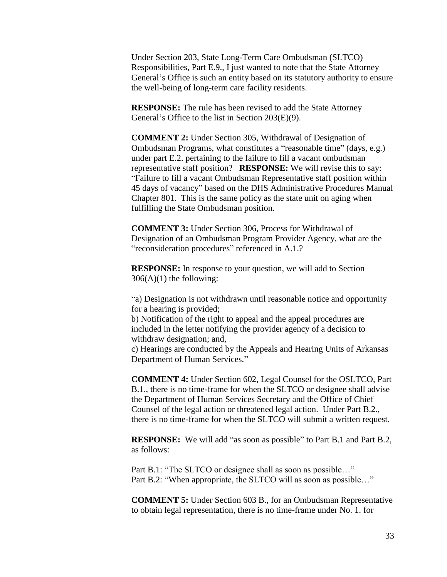Under Section 203, State Long-Term Care Ombudsman (SLTCO) Responsibilities, Part E.9., I just wanted to note that the State Attorney General's Office is such an entity based on its statutory authority to ensure the well-being of long-term care facility residents.

**RESPONSE:** The rule has been revised to add the State Attorney General's Office to the list in Section 203(E)(9).

**COMMENT 2:** Under Section 305, Withdrawal of Designation of Ombudsman Programs, what constitutes a "reasonable time" (days, e.g.) under part E.2. pertaining to the failure to fill a vacant ombudsman representative staff position? **RESPONSE:** We will revise this to say: "Failure to fill a vacant Ombudsman Representative staff position within 45 days of vacancy" based on the DHS Administrative Procedures Manual Chapter 801. This is the same policy as the state unit on aging when fulfilling the State Ombudsman position.

**COMMENT 3:** Under Section 306, Process for Withdrawal of Designation of an Ombudsman Program Provider Agency, what are the "reconsideration procedures" referenced in A.1.?

**RESPONSE:** In response to your question, we will add to Section  $306(A)(1)$  the following:

"a) Designation is not withdrawn until reasonable notice and opportunity for a hearing is provided;

b) Notification of the right to appeal and the appeal procedures are included in the letter notifying the provider agency of a decision to withdraw designation; and,

c) Hearings are conducted by the Appeals and Hearing Units of Arkansas Department of Human Services."

**COMMENT 4:** Under Section 602, Legal Counsel for the OSLTCO, Part B.1., there is no time-frame for when the SLTCO or designee shall advise the Department of Human Services Secretary and the Office of Chief Counsel of the legal action or threatened legal action. Under Part B.2., there is no time-frame for when the SLTCO will submit a written request.

**RESPONSE:** We will add "as soon as possible" to Part B.1 and Part B.2, as follows:

Part B.1: "The SLTCO or designee shall as soon as possible..." Part B.2: "When appropriate, the SLTCO will as soon as possible..."

**COMMENT 5:** Under Section 603 B., for an Ombudsman Representative to obtain legal representation, there is no time-frame under No. 1. for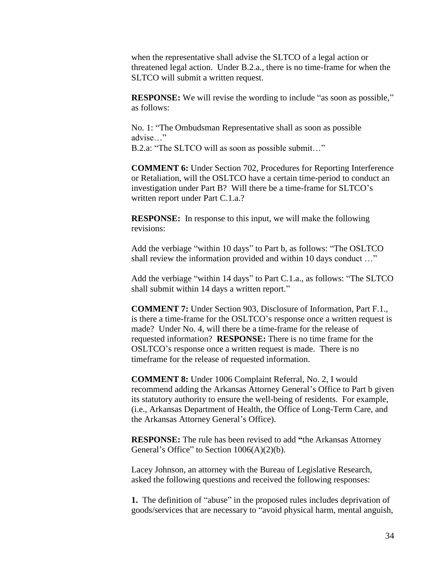when the representative shall advise the SLTCO of a legal action or threatened legal action. Under B.2.a., there is no time-frame for when the SLTCO will submit a written request.

**RESPONSE:** We will revise the wording to include "as soon as possible," as follows:

No. 1: "The Ombudsman Representative shall as soon as possible advise…"

B.2.a: "The SLTCO will as soon as possible submit…"

**COMMENT 6:** Under Section 702, Procedures for Reporting Interference or Retaliation, will the OSLTCO have a certain time-period to conduct an investigation under Part B? Will there be a time-frame for SLTCO's written report under Part C.1.a.?

**RESPONSE:** In response to this input, we will make the following revisions:

Add the verbiage "within 10 days" to Part b, as follows: "The OSLTCO shall review the information provided and within 10 days conduct …"

Add the verbiage "within 14 days" to Part C.1.a., as follows: "The SLTCO shall submit within 14 days a written report."

**COMMENT 7:** Under Section 903, Disclosure of Information, Part F.1., is there a time-frame for the OSLTCO's response once a written request is made? Under No. 4, will there be a time-frame for the release of requested information? **RESPONSE:** There is no time frame for the OSLTCO's response once a written request is made. There is no timeframe for the release of requested information.

**COMMENT 8:** Under 1006 Complaint Referral, No. 2, I would recommend adding the Arkansas Attorney General's Office to Part b given its statutory authority to ensure the well-being of residents. For example, (i.e., Arkansas Department of Health, the Office of Long-Term Care, and the Arkansas Attorney General's Office).

**RESPONSE:** The rule has been revised to add **"**the Arkansas Attorney General's Office" to Section  $1006(A)(2)(b)$ .

Lacey Johnson, an attorney with the Bureau of Legislative Research, asked the following questions and received the following responses:

**1.** The definition of "abuse" in the proposed rules includes deprivation of goods/services that are necessary to "avoid physical harm, mental anguish,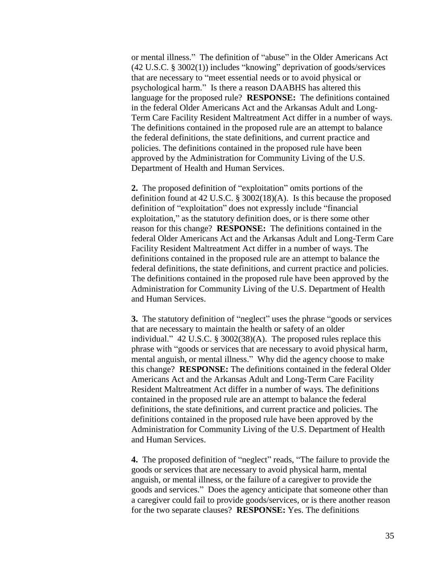or mental illness." The definition of "abuse" in the Older Americans Act (42 U.S.C. § 3002(1)) includes "knowing" deprivation of goods/services that are necessary to "meet essential needs or to avoid physical or psychological harm." Is there a reason DAABHS has altered this language for the proposed rule? **RESPONSE:** The definitions contained in the federal Older Americans Act and the Arkansas Adult and Long-Term Care Facility Resident Maltreatment Act differ in a number of ways. The definitions contained in the proposed rule are an attempt to balance the federal definitions, the state definitions, and current practice and policies. The definitions contained in the proposed rule have been approved by the Administration for Community Living of the U.S. Department of Health and Human Services.

**2.** The proposed definition of "exploitation" omits portions of the definition found at 42 U.S.C. § 3002(18)(A). Is this because the proposed definition of "exploitation" does not expressly include "financial exploitation," as the statutory definition does, or is there some other reason for this change? **RESPONSE:** The definitions contained in the federal Older Americans Act and the Arkansas Adult and Long-Term Care Facility Resident Maltreatment Act differ in a number of ways. The definitions contained in the proposed rule are an attempt to balance the federal definitions, the state definitions, and current practice and policies. The definitions contained in the proposed rule have been approved by the Administration for Community Living of the U.S. Department of Health and Human Services.

**3.** The statutory definition of "neglect" uses the phrase "goods or services that are necessary to maintain the health or safety of an older individual." 42 U.S.C. § 3002(38)(A). The proposed rules replace this phrase with "goods or services that are necessary to avoid physical harm, mental anguish, or mental illness." Why did the agency choose to make this change? **RESPONSE:** The definitions contained in the federal Older Americans Act and the Arkansas Adult and Long-Term Care Facility Resident Maltreatment Act differ in a number of ways. The definitions contained in the proposed rule are an attempt to balance the federal definitions, the state definitions, and current practice and policies. The definitions contained in the proposed rule have been approved by the Administration for Community Living of the U.S. Department of Health and Human Services.

**4.** The proposed definition of "neglect" reads, "The failure to provide the goods or services that are necessary to avoid physical harm, mental anguish, or mental illness, or the failure of a caregiver to provide the goods and services." Does the agency anticipate that someone other than a caregiver could fail to provide goods/services, or is there another reason for the two separate clauses? **RESPONSE:** Yes. The definitions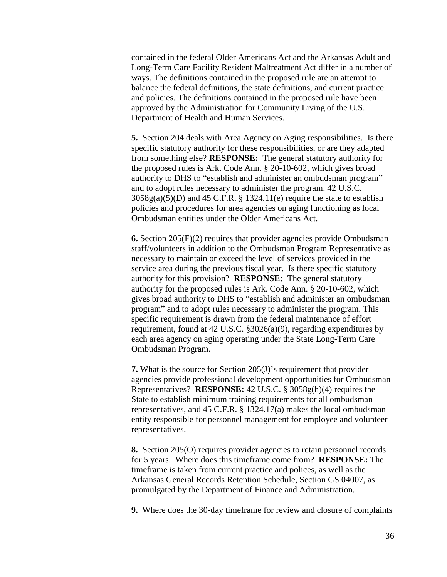contained in the federal Older Americans Act and the Arkansas Adult and Long-Term Care Facility Resident Maltreatment Act differ in a number of ways. The definitions contained in the proposed rule are an attempt to balance the federal definitions, the state definitions, and current practice and policies. The definitions contained in the proposed rule have been approved by the Administration for Community Living of the U.S. Department of Health and Human Services.

**5.** Section 204 deals with Area Agency on Aging responsibilities. Is there specific statutory authority for these responsibilities, or are they adapted from something else? **RESPONSE:** The general statutory authority for the proposed rules is Ark. Code Ann. § 20-10-602, which gives broad authority to DHS to "establish and administer an ombudsman program" and to adopt rules necessary to administer the program. 42 U.S.C.  $3058g(a)(5)(D)$  and  $45$  C.F.R. § 1324.11(e) require the state to establish policies and procedures for area agencies on aging functioning as local Ombudsman entities under the Older Americans Act.

**6.** Section 205(F)(2) requires that provider agencies provide Ombudsman staff/volunteers in addition to the Ombudsman Program Representative as necessary to maintain or exceed the level of services provided in the service area during the previous fiscal year. Is there specific statutory authority for this provision? **RESPONSE:** The general statutory authority for the proposed rules is Ark. Code Ann. § 20-10-602, which gives broad authority to DHS to "establish and administer an ombudsman program" and to adopt rules necessary to administer the program. This specific requirement is drawn from the federal maintenance of effort requirement, found at 42 U.S.C. §3026(a)(9), regarding expenditures by each area agency on aging operating under the State Long-Term Care Ombudsman Program.

**7.** What is the source for Section 205(J)'s requirement that provider agencies provide professional development opportunities for Ombudsman Representatives? **RESPONSE:** 42 U.S.C. § 3058g(h)(4) requires the State to establish minimum training requirements for all ombudsman representatives, and 45 C.F.R. § 1324.17(a) makes the local ombudsman entity responsible for personnel management for employee and volunteer representatives.

**8.** Section 205(O) requires provider agencies to retain personnel records for 5 years. Where does this timeframe come from? **RESPONSE:** The timeframe is taken from current practice and polices, as well as the Arkansas General Records Retention Schedule, Section GS 04007, as promulgated by the Department of Finance and Administration.

**9.** Where does the 30-day timeframe for review and closure of complaints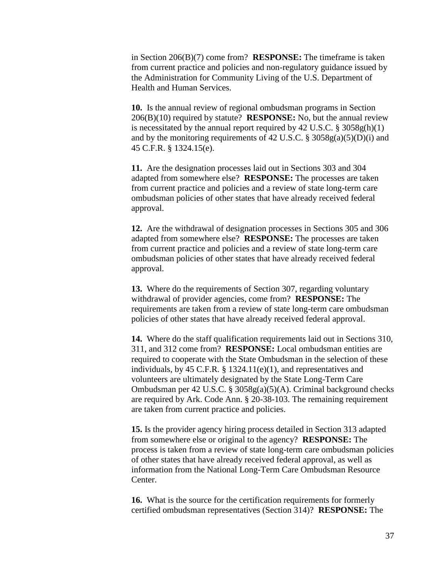in Section 206(B)(7) come from? **RESPONSE:** The timeframe is taken from current practice and policies and non-regulatory guidance issued by the Administration for Community Living of the U.S. Department of Health and Human Services.

**10.** Is the annual review of regional ombudsman programs in Section 206(B)(10) required by statute? **RESPONSE:** No, but the annual review is necessitated by the annual report required by  $42 \text{ U.S.C. }$  §  $3058 \text{ g(h)}(1)$ and by the monitoring requirements of 42 U.S.C.  $\S 3058g(a)(5)(D)(i)$  and 45 C.F.R. § 1324.15(e).

**11.** Are the designation processes laid out in Sections 303 and 304 adapted from somewhere else? **RESPONSE:** The processes are taken from current practice and policies and a review of state long-term care ombudsman policies of other states that have already received federal approval.

**12.** Are the withdrawal of designation processes in Sections 305 and 306 adapted from somewhere else? **RESPONSE:** The processes are taken from current practice and policies and a review of state long-term care ombudsman policies of other states that have already received federal approval.

**13.** Where do the requirements of Section 307, regarding voluntary withdrawal of provider agencies, come from? **RESPONSE:** The requirements are taken from a review of state long-term care ombudsman policies of other states that have already received federal approval.

**14.** Where do the staff qualification requirements laid out in Sections 310, 311, and 312 come from? **RESPONSE:** Local ombudsman entities are required to cooperate with the State Ombudsman in the selection of these individuals, by 45 C.F.R.  $\S$  1324.11(e)(1), and representatives and volunteers are ultimately designated by the State Long-Term Care Ombudsman per 42 U.S.C. § 3058g(a)(5)(A). Criminal background checks are required by Ark. Code Ann. § 20-38-103. The remaining requirement are taken from current practice and policies.

**15.** Is the provider agency hiring process detailed in Section 313 adapted from somewhere else or original to the agency? **RESPONSE:** The process is taken from a review of state long-term care ombudsman policies of other states that have already received federal approval, as well as information from the National Long-Term Care Ombudsman Resource Center.

**16.** What is the source for the certification requirements for formerly certified ombudsman representatives (Section 314)? **RESPONSE:** The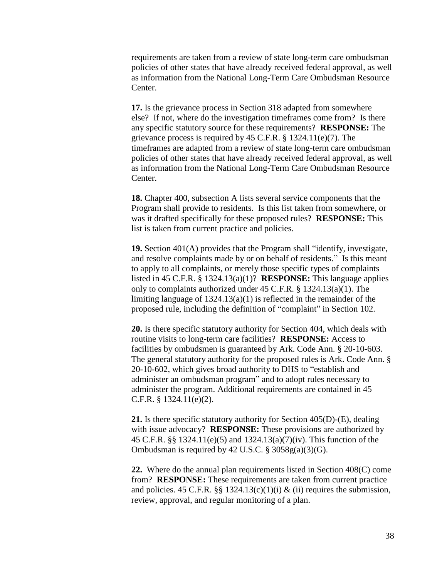requirements are taken from a review of state long-term care ombudsman policies of other states that have already received federal approval, as well as information from the National Long-Term Care Ombudsman Resource Center.

**17.** Is the grievance process in Section 318 adapted from somewhere else? If not, where do the investigation timeframes come from? Is there any specific statutory source for these requirements? **RESPONSE:** The grievance process is required by 45 C.F.R. § 1324.11(e)(7). The timeframes are adapted from a review of state long-term care ombudsman policies of other states that have already received federal approval, as well as information from the National Long-Term Care Ombudsman Resource Center.

**18.** Chapter 400, subsection A lists several service components that the Program shall provide to residents. Is this list taken from somewhere, or was it drafted specifically for these proposed rules? **RESPONSE:** This list is taken from current practice and policies.

**19.** Section 401(A) provides that the Program shall "identify, investigate, and resolve complaints made by or on behalf of residents." Is this meant to apply to all complaints, or merely those specific types of complaints listed in 45 C.F.R. § 1324.13(a)(1)? **RESPONSE:** This language applies only to complaints authorized under 45 C.F.R. § 1324.13(a)(1). The limiting language of 1324.13(a)(1) is reflected in the remainder of the proposed rule, including the definition of "complaint" in Section 102.

**20.** Is there specific statutory authority for Section 404, which deals with routine visits to long-term care facilities? **RESPONSE:** Access to facilities by ombudsmen is guaranteed by Ark. Code Ann. § 20-10-603. The general statutory authority for the proposed rules is Ark. Code Ann. § 20-10-602, which gives broad authority to DHS to "establish and administer an ombudsman program" and to adopt rules necessary to administer the program. Additional requirements are contained in 45 C.F.R. § 1324.11(e)(2).

**21.** Is there specific statutory authority for Section 405(D)-(E), dealing with issue advocacy? **RESPONSE:** These provisions are authorized by 45 C.F.R. §§ 1324.11(e)(5) and 1324.13(a)(7)(iv). This function of the Ombudsman is required by 42 U.S.C. § 3058g(a)(3)(G).

**22.** Where do the annual plan requirements listed in Section 408(C) come from? **RESPONSE:** These requirements are taken from current practice and policies. 45 C.F.R. §§ 1324.13(c)(1)(i) & (ii) requires the submission, review, approval, and regular monitoring of a plan.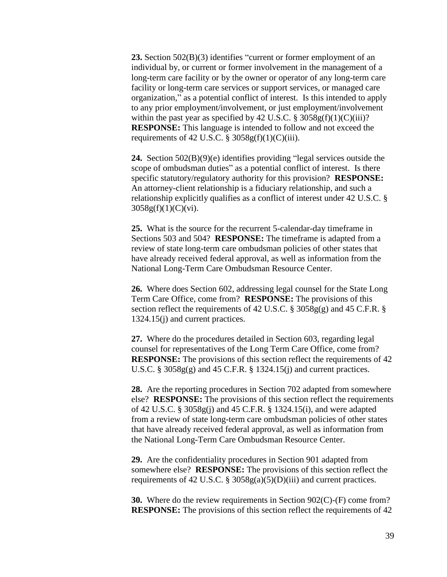**23.** Section 502(B)(3) identifies "current or former employment of an individual by, or current or former involvement in the management of a long-term care facility or by the owner or operator of any long-term care facility or long-term care services or support services, or managed care organization," as a potential conflict of interest. Is this intended to apply to any prior employment/involvement, or just employment/involvement within the past year as specified by 42 U.S.C.  $\S 3058g(f)(1)(C)(iii)$ ? **RESPONSE:** This language is intended to follow and not exceed the requirements of 42 U.S.C.  $\S 3058g(f)(1)(C)(iii)$ .

**24.** Section 502(B)(9)(e) identifies providing "legal services outside the scope of ombudsman duties" as a potential conflict of interest. Is there specific statutory/regulatory authority for this provision? **RESPONSE:** An attorney-client relationship is a fiduciary relationship, and such a relationship explicitly qualifies as a conflict of interest under 42 U.S.C. §  $3058g(f)(1)(C)(vi)$ .

**25.** What is the source for the recurrent 5-calendar-day timeframe in Sections 503 and 504? **RESPONSE:** The timeframe is adapted from a review of state long-term care ombudsman policies of other states that have already received federal approval, as well as information from the National Long-Term Care Ombudsman Resource Center.

**26.** Where does Section 602, addressing legal counsel for the State Long Term Care Office, come from? **RESPONSE:** The provisions of this section reflect the requirements of 42 U.S.C.  $\S$  3058g(g) and 45 C.F.R.  $\S$ 1324.15(j) and current practices.

**27.** Where do the procedures detailed in Section 603, regarding legal counsel for representatives of the Long Term Care Office, come from? **RESPONSE:** The provisions of this section reflect the requirements of 42 U.S.C. § 3058g(g) and 45 C.F.R. § 1324.15(j) and current practices.

**28.** Are the reporting procedures in Section 702 adapted from somewhere else? **RESPONSE:** The provisions of this section reflect the requirements of 42 U.S.C. § 3058g(j) and 45 C.F.R. § 1324.15(i), and were adapted from a review of state long-term care ombudsman policies of other states that have already received federal approval, as well as information from the National Long-Term Care Ombudsman Resource Center.

**29.** Are the confidentiality procedures in Section 901 adapted from somewhere else? **RESPONSE:** The provisions of this section reflect the requirements of 42 U.S.C.  $\S 3058g(a)(5)(D)(iii)$  and current practices.

**30.** Where do the review requirements in Section 902(C)-(F) come from? **RESPONSE:** The provisions of this section reflect the requirements of 42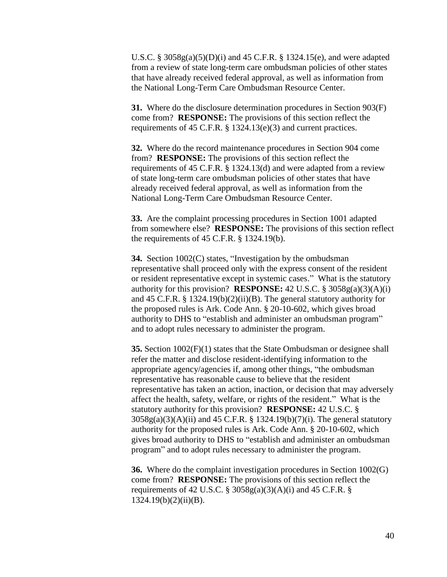U.S.C. § 3058g(a)(5)(D)(i) and 45 C.F.R. § 1324.15(e), and were adapted from a review of state long-term care ombudsman policies of other states that have already received federal approval, as well as information from the National Long-Term Care Ombudsman Resource Center.

**31.** Where do the disclosure determination procedures in Section 903(F) come from? **RESPONSE:** The provisions of this section reflect the requirements of 45 C.F.R. § 1324.13(e)(3) and current practices.

**32.** Where do the record maintenance procedures in Section 904 come from? **RESPONSE:** The provisions of this section reflect the requirements of 45 C.F.R. § 1324.13(d) and were adapted from a review of state long-term care ombudsman policies of other states that have already received federal approval, as well as information from the National Long-Term Care Ombudsman Resource Center.

**33.** Are the complaint processing procedures in Section 1001 adapted from somewhere else? **RESPONSE:** The provisions of this section reflect the requirements of 45 C.F.R. § 1324.19(b).

**34.** Section 1002(C) states, "Investigation by the ombudsman representative shall proceed only with the express consent of the resident or resident representative except in systemic cases." What is the statutory authority for this provision? **RESPONSE:** 42 U.S.C. § 3058g(a)(3)(A)(i) and 45 C.F.R. § 1324.19(b)(2)(ii)(B). The general statutory authority for the proposed rules is Ark. Code Ann. § 20-10-602, which gives broad authority to DHS to "establish and administer an ombudsman program" and to adopt rules necessary to administer the program.

**35.** Section 1002(F)(1) states that the State Ombudsman or designee shall refer the matter and disclose resident-identifying information to the appropriate agency/agencies if, among other things, "the ombudsman representative has reasonable cause to believe that the resident representative has taken an action, inaction, or decision that may adversely affect the health, safety, welfare, or rights of the resident." What is the statutory authority for this provision? **RESPONSE:** 42 U.S.C. § 3058g(a)(3)(A)(ii) and 45 C.F.R. § 1324.19(b)(7)(i). The general statutory authority for the proposed rules is Ark. Code Ann. § 20-10-602, which gives broad authority to DHS to "establish and administer an ombudsman program" and to adopt rules necessary to administer the program.

**36.** Where do the complaint investigation procedures in Section 1002(G) come from? **RESPONSE:** The provisions of this section reflect the requirements of 42 U.S.C. §  $3058g(a)(3)(A)(i)$  and 45 C.F.R. §  $1324.19(b)(2)(ii)(B).$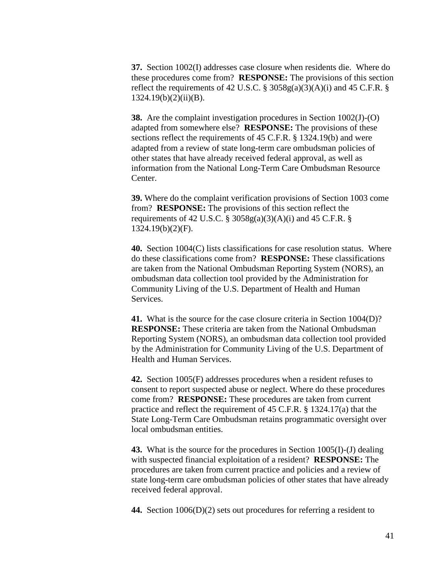**37.** Section 1002(I) addresses case closure when residents die. Where do these procedures come from? **RESPONSE:** The provisions of this section reflect the requirements of 42 U.S.C. § 3058g(a)(3)(A)(i) and 45 C.F.R. § 1324.19(b)(2)(ii)(B).

**38.** Are the complaint investigation procedures in Section 1002(J)-(O) adapted from somewhere else? **RESPONSE:** The provisions of these sections reflect the requirements of 45 C.F.R. § 1324.19(b) and were adapted from a review of state long-term care ombudsman policies of other states that have already received federal approval, as well as information from the National Long-Term Care Ombudsman Resource Center.

**39.** Where do the complaint verification provisions of Section 1003 come from? **RESPONSE:** The provisions of this section reflect the requirements of 42 U.S.C. §  $3058g(a)(3)(A)(i)$  and 45 C.F.R. § 1324.19(b)(2)(F).

**40.** Section 1004(C) lists classifications for case resolution status. Where do these classifications come from? **RESPONSE:** These classifications are taken from the National Ombudsman Reporting System (NORS), an ombudsman data collection tool provided by the Administration for Community Living of the U.S. Department of Health and Human Services.

**41.** What is the source for the case closure criteria in Section 1004(D)? **RESPONSE:** These criteria are taken from the National Ombudsman Reporting System (NORS), an ombudsman data collection tool provided by the Administration for Community Living of the U.S. Department of Health and Human Services.

**42.** Section 1005(F) addresses procedures when a resident refuses to consent to report suspected abuse or neglect. Where do these procedures come from? **RESPONSE:** These procedures are taken from current practice and reflect the requirement of 45 C.F.R. § 1324.17(a) that the State Long-Term Care Ombudsman retains programmatic oversight over local ombudsman entities.

**43.** What is the source for the procedures in Section 1005(I)-(J) dealing with suspected financial exploitation of a resident? **RESPONSE:** The procedures are taken from current practice and policies and a review of state long-term care ombudsman policies of other states that have already received federal approval.

**44.** Section 1006(D)(2) sets out procedures for referring a resident to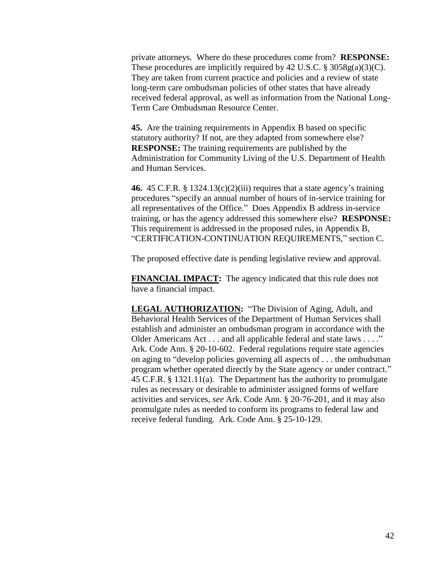private attorneys. Where do these procedures come from? **RESPONSE:** These procedures are implicitly required by 42 U.S.C. § 3058g(a)(3)(C). They are taken from current practice and policies and a review of state long-term care ombudsman policies of other states that have already received federal approval, as well as information from the National Long-Term Care Ombudsman Resource Center.

**45.** Are the training requirements in Appendix B based on specific statutory authority? If not, are they adapted from somewhere else? **RESPONSE:** The training requirements are published by the Administration for Community Living of the U.S. Department of Health and Human Services.

**46.** 45 C.F.R. § 1324.13(c)(2)(iii) requires that a state agency's training procedures "specify an annual number of hours of in-service training for all representatives of the Office." Does Appendix B address in-service training, or has the agency addressed this somewhere else? **RESPONSE:** This requirement is addressed in the proposed rules, in Appendix B, "CERTIFICATION-CONTINUATION REQUIREMENTS," section C.

The proposed effective date is pending legislative review and approval.

**FINANCIAL IMPACT:** The agency indicated that this rule does not have a financial impact.

**LEGAL AUTHORIZATION:** "The Division of Aging, Adult, and Behavioral Health Services of the Department of Human Services shall establish and administer an ombudsman program in accordance with the Older Americans Act . . . and all applicable federal and state laws . . . ." Ark. Code Ann. § 20-10-602. Federal regulations require state agencies on aging to "develop policies governing all aspects of . . . the ombudsman program whether operated directly by the State agency or under contract." 45 C.F.R. § 1321.11(a). The Department has the authority to promulgate rules as necessary or desirable to administer assigned forms of welfare activities and services, *see* Ark. Code Ann. § 20-76-201, and it may also promulgate rules as needed to conform its programs to federal law and receive federal funding. Ark. Code Ann. § 25-10-129.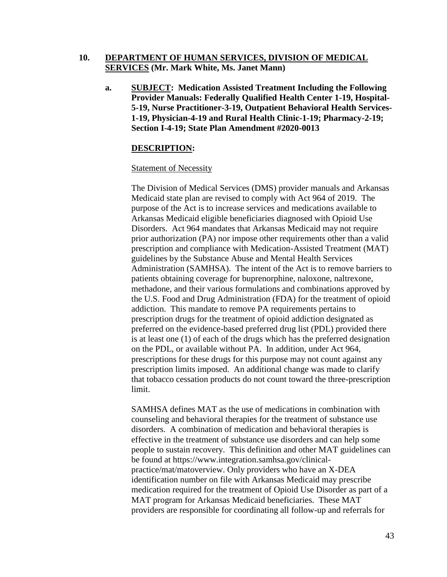## **10. DEPARTMENT OF HUMAN SERVICES, DIVISION OF MEDICAL SERVICES (Mr. Mark White, Ms. Janet Mann)**

**a. SUBJECT: Medication Assisted Treatment Including the Following Provider Manuals: Federally Qualified Health Center 1-19, Hospital-5-19, Nurse Practitioner-3-19, Outpatient Behavioral Health Services-1-19, Physician-4-19 and Rural Health Clinic-1-19; Pharmacy-2-19; Section I-4-19; State Plan Amendment #2020-0013**

#### **DESCRIPTION:**

#### Statement of Necessity

The Division of Medical Services (DMS) provider manuals and Arkansas Medicaid state plan are revised to comply with Act 964 of 2019. The purpose of the Act is to increase services and medications available to Arkansas Medicaid eligible beneficiaries diagnosed with Opioid Use Disorders. Act 964 mandates that Arkansas Medicaid may not require prior authorization (PA) nor impose other requirements other than a valid prescription and compliance with Medication-Assisted Treatment (MAT) guidelines by the Substance Abuse and Mental Health Services Administration (SAMHSA). The intent of the Act is to remove barriers to patients obtaining coverage for buprenorphine, naloxone, naltrexone, methadone, and their various formulations and combinations approved by the U.S. Food and Drug Administration (FDA) for the treatment of opioid addiction. This mandate to remove PA requirements pertains to prescription drugs for the treatment of opioid addiction designated as preferred on the evidence-based preferred drug list (PDL) provided there is at least one (1) of each of the drugs which has the preferred designation on the PDL, or available without PA. In addition, under Act 964, prescriptions for these drugs for this purpose may not count against any prescription limits imposed. An additional change was made to clarify that tobacco cessation products do not count toward the three-prescription limit.

SAMHSA defines MAT as the use of medications in combination with counseling and behavioral therapies for the treatment of substance use disorders. A combination of medication and behavioral therapies is effective in the treatment of substance use disorders and can help some people to sustain recovery. This definition and other MAT guidelines can be found at [https://www.integration.samhsa.gov/clinical](https://www.integration.samhsa.gov/clinical-practice/mat/mat-overview)[practice/mat/matoverview.](https://www.integration.samhsa.gov/clinical-practice/mat/mat-overview) Only providers who have an X-DEA identification number on file with Arkansas Medicaid may prescribe medication required for the treatment of Opioid Use Disorder as part of a MAT program for Arkansas Medicaid beneficiaries. These MAT providers are responsible for coordinating all follow-up and referrals for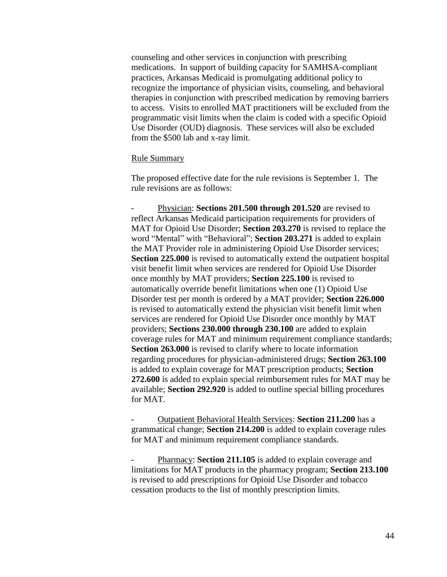counseling and other services in conjunction with prescribing medications. In support of building capacity for SAMHSA-compliant practices, Arkansas Medicaid is promulgating additional policy to recognize the importance of physician visits, counseling, and behavioral therapies in conjunction with prescribed medication by removing barriers to access. Visits to enrolled MAT practitioners will be excluded from the programmatic visit limits when the claim is coded with a specific Opioid Use Disorder (OUD) diagnosis. These services will also be excluded from the \$500 lab and x-ray limit.

#### Rule Summary

The proposed effective date for the rule revisions is September 1. The rule revisions are as follows:

Physician: **Sections 201.500 through 201.520** are revised to reflect Arkansas Medicaid participation requirements for providers of MAT for Opioid Use Disorder; **Section 203.270** is revised to replace the word "Mental" with "Behavioral"; **Section 203.271** is added to explain the MAT Provider role in administering Opioid Use Disorder services; **Section 225.000** is revised to automatically extend the outpatient hospital visit benefit limit when services are rendered for Opioid Use Disorder once monthly by MAT providers; **Section 225.100** is revised to automatically override benefit limitations when one (1) Opioid Use Disorder test per month is ordered by a MAT provider; **Section 226.000** is revised to automatically extend the physician visit benefit limit when services are rendered for Opioid Use Disorder once monthly by MAT providers; **Sections 230.000 through 230.100** are added to explain coverage rules for MAT and minimum requirement compliance standards; **Section 263.000** is revised to clarify where to locate information regarding procedures for physician-administered drugs; **Section 263.100** is added to explain coverage for MAT prescription products; **Section 272.600** is added to explain special reimbursement rules for MAT may be available; **Section 292.920** is added to outline special billing procedures for MAT.

- Outpatient Behavioral Health Services: **Section 211.200** has a grammatical change; **Section 214.200** is added to explain coverage rules for MAT and minimum requirement compliance standards.

Pharmacy: **Section 211.105** is added to explain coverage and limitations for MAT products in the pharmacy program; **Section 213.100** is revised to add prescriptions for Opioid Use Disorder and tobacco cessation products to the list of monthly prescription limits.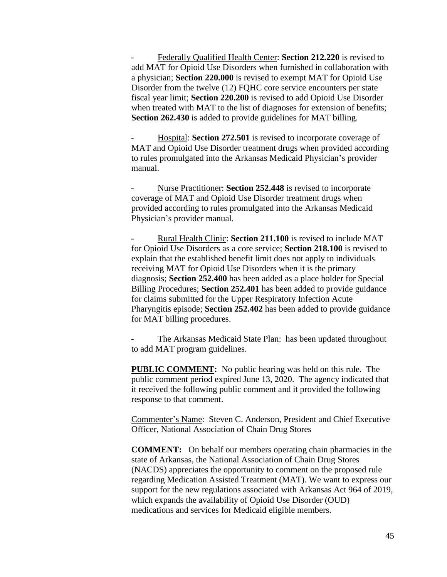- Federally Qualified Health Center: **Section 212.220** is revised to add MAT for Opioid Use Disorders when furnished in collaboration with a physician; **Section 220.000** is revised to exempt MAT for Opioid Use Disorder from the twelve (12) FQHC core service encounters per state fiscal year limit; **Section 220.200** is revised to add Opioid Use Disorder when treated with MAT to the list of diagnoses for extension of benefits; **Section 262.430** is added to provide guidelines for MAT billing.

- Hospital: **Section 272.501** is revised to incorporate coverage of MAT and Opioid Use Disorder treatment drugs when provided according to rules promulgated into the Arkansas Medicaid Physician's provider manual.

Nurse Practitioner: **Section 252.448** is revised to incorporate coverage of MAT and Opioid Use Disorder treatment drugs when provided according to rules promulgated into the Arkansas Medicaid Physician's provider manual.

- Rural Health Clinic: **Section 211.100** is revised to include MAT for Opioid Use Disorders as a core service; **Section 218.100** is revised to explain that the established benefit limit does not apply to individuals receiving MAT for Opioid Use Disorders when it is the primary diagnosis; **Section 252.400** has been added as a place holder for Special Billing Procedures; **Section 252.401** has been added to provide guidance for claims submitted for the Upper Respiratory Infection Acute Pharyngitis episode; **Section 252.402** has been added to provide guidance for MAT billing procedures.

The Arkansas Medicaid State Plan: has been updated throughout to add MAT program guidelines.

**PUBLIC COMMENT:** No public hearing was held on this rule. The public comment period expired June 13, 2020. The agency indicated that it received the following public comment and it provided the following response to that comment.

Commenter's Name: Steven C. Anderson, President and Chief Executive Officer, National Association of Chain Drug Stores

**COMMENT:** On behalf our members operating chain pharmacies in the state of Arkansas, the National Association of Chain Drug Stores (NACDS) appreciates the opportunity to comment on the proposed rule regarding Medication Assisted Treatment (MAT). We want to express our support for the new regulations associated with Arkansas Act 964 of 2019, which expands the availability of Opioid Use Disorder (OUD) medications and services for Medicaid eligible members.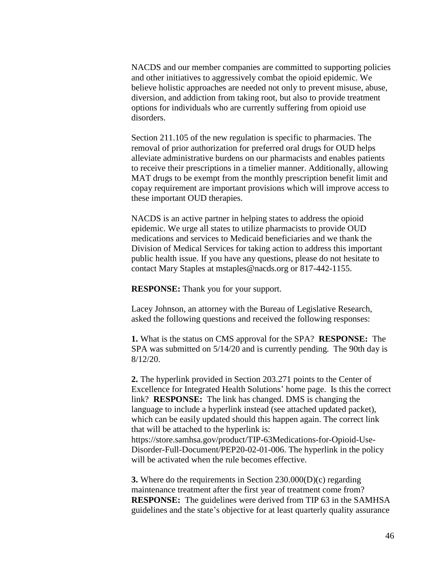NACDS and our member companies are committed to supporting policies and other initiatives to aggressively combat the opioid epidemic. We believe holistic approaches are needed not only to prevent misuse, abuse, diversion, and addiction from taking root, but also to provide treatment options for individuals who are currently suffering from opioid use disorders.

Section 211.105 of the new regulation is specific to pharmacies. The removal of prior authorization for preferred oral drugs for OUD helps alleviate administrative burdens on our pharmacists and enables patients to receive their prescriptions in a timelier manner. Additionally, allowing MAT drugs to be exempt from the monthly prescription benefit limit and copay requirement are important provisions which will improve access to these important OUD therapies.

NACDS is an active partner in helping states to address the opioid epidemic. We urge all states to utilize pharmacists to provide OUD medications and services to Medicaid beneficiaries and we thank the Division of Medical Services for taking action to address this important public health issue. If you have any questions, please do not hesitate to contact Mary Staples at mstaples@nacds.org or 817-442-1155.

**RESPONSE:** Thank you for your support.

Lacey Johnson, an attorney with the Bureau of Legislative Research, asked the following questions and received the following responses:

**1.** What is the status on CMS approval for the SPA? **RESPONSE:** The SPA was submitted on 5/14/20 and is currently pending. The 90th day is 8/12/20.

**2.** The hyperlink provided in Section 203.271 points to the Center of Excellence for Integrated Health Solutions' home page. Is this the correct link? **RESPONSE:** The link has changed. DMS is changing the language to include a hyperlink instead (see attached updated packet), which can be easily updated should this happen again. The correct link that will be attached to the hyperlink is: [https://store.samhsa.gov/product/TIP-63Medications-for-Opioid-Use-](https://gcc02.safelinks.protection.outlook.com/?url=https%3A%2F%2Fstore.samhsa.gov%2Fproduct%2FTIP-63-Medications-for-Opioid-Use-Disorder-Full-Document%2FPEP20-02-01-006&data=02%7C01%7CAlexandra.Rouse%40dhs.arkansas.gov%7C3d4da4613a7c4bd486a608d81138bd60%7C5ec1d8f0cb624000b3278e63b0547048%7C1%7C0%7C637278283465011052&sdata=pT4%2BRL9A9OPxSSj3fjsdi6noNZjXjeaCHVWVWRpHiy4%3D&reserved=0)[Disorder-Full-Document/PEP20-02-01-006.](https://gcc02.safelinks.protection.outlook.com/?url=https%3A%2F%2Fstore.samhsa.gov%2Fproduct%2FTIP-63-Medications-for-Opioid-Use-Disorder-Full-Document%2FPEP20-02-01-006&data=02%7C01%7CAlexandra.Rouse%40dhs.arkansas.gov%7C3d4da4613a7c4bd486a608d81138bd60%7C5ec1d8f0cb624000b3278e63b0547048%7C1%7C0%7C637278283465011052&sdata=pT4%2BRL9A9OPxSSj3fjsdi6noNZjXjeaCHVWVWRpHiy4%3D&reserved=0) The hyperlink in the policy will be activated when the rule becomes effective.

**3.** Where do the requirements in Section 230.000(D)(c) regarding maintenance treatment after the first year of treatment come from? **RESPONSE:** The guidelines were derived from TIP 63 in the SAMHSA guidelines and the state's objective for at least quarterly quality assurance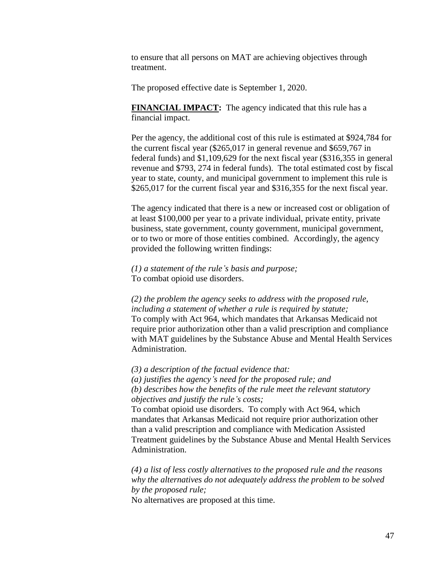to ensure that all persons on MAT are achieving objectives through treatment.

The proposed effective date is September 1, 2020.

**FINANCIAL IMPACT:** The agency indicated that this rule has a financial impact.

Per the agency, the additional cost of this rule is estimated at \$924,784 for the current fiscal year (\$265,017 in general revenue and \$659,767 in federal funds) and \$1,109,629 for the next fiscal year (\$316,355 in general revenue and \$793, 274 in federal funds). The total estimated cost by fiscal year to state, county, and municipal government to implement this rule is \$265,017 for the current fiscal year and \$316,355 for the next fiscal year.

The agency indicated that there is a new or increased cost or obligation of at least \$100,000 per year to a private individual, private entity, private business, state government, county government, municipal government, or to two or more of those entities combined. Accordingly, the agency provided the following written findings:

*(1) a statement of the rule's basis and purpose;* To combat opioid use disorders.

*(2) the problem the agency seeks to address with the proposed rule, including a statement of whether a rule is required by statute;* To comply with Act 964, which mandates that Arkansas Medicaid not require prior authorization other than a valid prescription and compliance with MAT guidelines by the Substance Abuse and Mental Health Services Administration.

*(3) a description of the factual evidence that:* 

*(a) justifies the agency's need for the proposed rule; and (b) describes how the benefits of the rule meet the relevant statutory objectives and justify the rule's costs;*

To combat opioid use disorders. To comply with Act 964, which mandates that Arkansas Medicaid not require prior authorization other than a valid prescription and compliance with Medication Assisted Treatment guidelines by the Substance Abuse and Mental Health Services Administration.

*(4) a list of less costly alternatives to the proposed rule and the reasons why the alternatives do not adequately address the problem to be solved by the proposed rule;*

No alternatives are proposed at this time.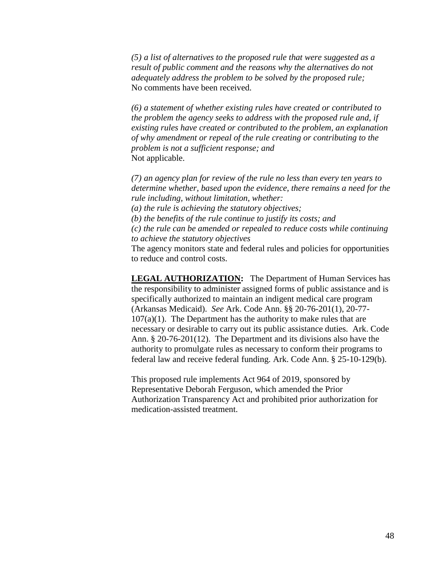*(5) a list of alternatives to the proposed rule that were suggested as a result of public comment and the reasons why the alternatives do not adequately address the problem to be solved by the proposed rule;* No comments have been received.

*(6) a statement of whether existing rules have created or contributed to the problem the agency seeks to address with the proposed rule and, if existing rules have created or contributed to the problem, an explanation of why amendment or repeal of the rule creating or contributing to the problem is not a sufficient response; and* Not applicable.

*(7) an agency plan for review of the rule no less than every ten years to determine whether, based upon the evidence, there remains a need for the rule including, without limitation, whether:* 

*(a) the rule is achieving the statutory objectives;* 

*(b) the benefits of the rule continue to justify its costs; and* 

*(c) the rule can be amended or repealed to reduce costs while continuing to achieve the statutory objectives*

The agency monitors state and federal rules and policies for opportunities to reduce and control costs.

**LEGAL AUTHORIZATION:** The Department of Human Services has the responsibility to administer assigned forms of public assistance and is specifically authorized to maintain an indigent medical care program (Arkansas Medicaid). *See* Ark. Code Ann. §§ 20-76-201(1), 20-77-  $107(a)(1)$ . The Department has the authority to make rules that are necessary or desirable to carry out its public assistance duties. Ark. Code Ann. § 20-76-201(12). The Department and its divisions also have the authority to promulgate rules as necessary to conform their programs to federal law and receive federal funding. Ark. Code Ann. § 25-10-129(b).

This proposed rule implements Act 964 of 2019, sponsored by Representative Deborah Ferguson, which amended the Prior Authorization Transparency Act and prohibited prior authorization for medication-assisted treatment.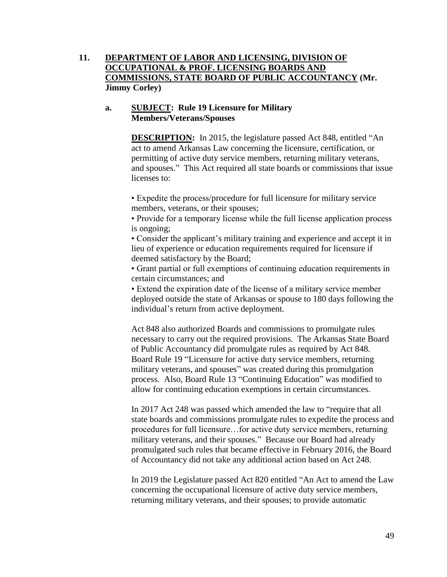# **11. DEPARTMENT OF LABOR AND LICENSING, DIVISION OF OCCUPATIONAL & PROF. LICENSING BOARDS AND COMMISSIONS, STATE BOARD OF PUBLIC ACCOUNTANCY (Mr. Jimmy Corley)**

## **a. SUBJECT: Rule 19 Licensure for Military Members/Veterans/Spouses**

**DESCRIPTION:** In 2015, the legislature passed Act 848, entitled "An act to amend Arkansas Law concerning the licensure, certification, or permitting of active duty service members, returning military veterans, and spouses." This Act required all state boards or commissions that issue licenses to:

• Expedite the process/procedure for full licensure for military service members, veterans, or their spouses;

• Provide for a temporary license while the full license application process is ongoing;

• Consider the applicant's military training and experience and accept it in lieu of experience or education requirements required for licensure if deemed satisfactory by the Board;

• Grant partial or full exemptions of continuing education requirements in certain circumstances; and

• Extend the expiration date of the license of a military service member deployed outside the state of Arkansas or spouse to 180 days following the individual's return from active deployment.

Act 848 also authorized Boards and commissions to promulgate rules necessary to carry out the required provisions. The Arkansas State Board of Public Accountancy did promulgate rules as required by Act 848. Board Rule 19 "Licensure for active duty service members, returning military veterans, and spouses" was created during this promulgation process. Also, Board Rule 13 "Continuing Education" was modified to allow for continuing education exemptions in certain circumstances.

In 2017 Act 248 was passed which amended the law to "require that all state boards and commissions promulgate rules to expedite the process and procedures for full licensure…for active duty service members, returning military veterans, and their spouses." Because our Board had already promulgated such rules that became effective in February 2016, the Board of Accountancy did not take any additional action based on Act 248.

In 2019 the Legislature passed Act 820 entitled "An Act to amend the Law concerning the occupational licensure of active duty service members, returning military veterans, and their spouses; to provide automatic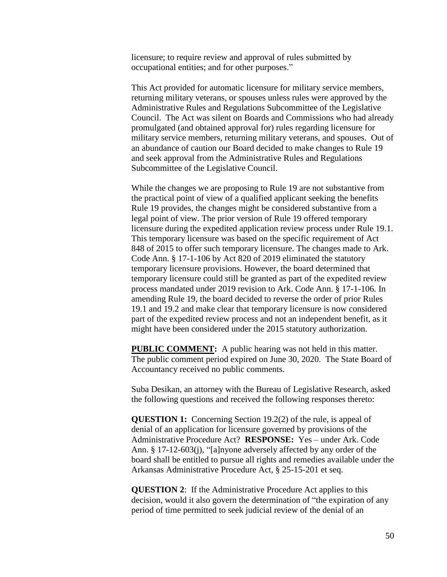licensure; to require review and approval of rules submitted by occupational entities; and for other purposes."

This Act provided for automatic licensure for military service members, returning military veterans, or spouses unless rules were approved by the Administrative Rules and Regulations Subcommittee of the Legislative Council. The Act was silent on Boards and Commissions who had already promulgated (and obtained approval for) rules regarding licensure for military service members, returning military veterans, and spouses. Out of an abundance of caution our Board decided to make changes to Rule 19 and seek approval from the Administrative Rules and Regulations Subcommittee of the Legislative Council.

While the changes we are proposing to Rule 19 are not substantive from the practical point of view of a qualified applicant seeking the benefits Rule 19 provides, the changes might be considered substantive from a legal point of view. The prior version of Rule 19 offered temporary licensure during the expedited application review process under Rule 19.1. This temporary licensure was based on the specific requirement of Act 848 of 2015 to offer such temporary licensure. The changes made to Ark. Code Ann. § 17-1-106 by Act 820 of 2019 eliminated the statutory temporary licensure provisions. However, the board determined that temporary licensure could still be granted as part of the expedited review process mandated under 2019 revision to Ark. Code Ann. § 17-1-106. In amending Rule 19, the board decided to reverse the order of prior Rules 19.1 and 19.2 and make clear that temporary licensure is now considered part of the expedited review process and not an independent benefit, as it might have been considered under the 2015 statutory authorization.

**PUBLIC COMMENT:** A public hearing was not held in this matter. The public comment period expired on June 30, 2020. The State Board of Accountancy received no public comments.

Suba Desikan, an attorney with the Bureau of Legislative Research, asked the following questions and received the following responses thereto:

**QUESTION 1:** Concerning Section 19.2(2) of the rule, is appeal of denial of an application for licensure governed by provisions of the Administrative Procedure Act? **RESPONSE:** Yes – under Ark. Code Ann. § 17-12-603(j), "[a]nyone adversely affected by any order of the board shall be entitled to pursue all rights and remedies available under the Arkansas Administrative Procedure Act, § 25-15-201 et seq.

**QUESTION 2**: If the Administrative Procedure Act applies to this decision, would it also govern the determination of "the expiration of any period of time permitted to seek judicial review of the denial of an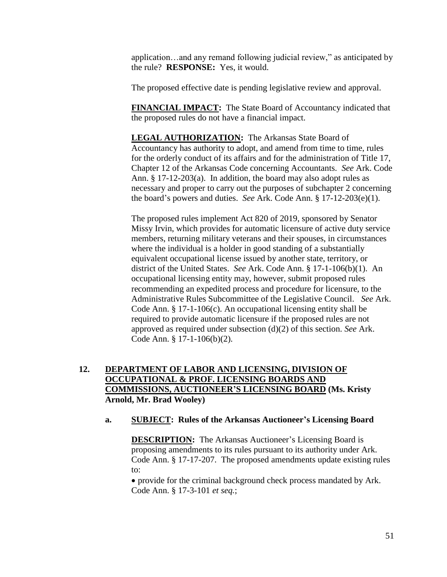application…and any remand following judicial review," as anticipated by the rule? **RESPONSE:** Yes, it would.

The proposed effective date is pending legislative review and approval.

**FINANCIAL IMPACT:** The State Board of Accountancy indicated that the proposed rules do not have a financial impact.

**LEGAL AUTHORIZATION:** The Arkansas State Board of Accountancy has authority to adopt, and amend from time to time, rules for the orderly conduct of its affairs and for the administration of Title 17, Chapter 12 of the Arkansas Code concerning Accountants. *See* Ark. Code Ann. § 17-12-203(a). In addition, the board may also adopt rules as necessary and proper to carry out the purposes of subchapter 2 concerning the board's powers and duties. *See* Ark. Code Ann. § 17-12-203(e)(1).

The proposed rules implement Act 820 of 2019, sponsored by Senator Missy Irvin, which provides for automatic licensure of active duty service members, returning military veterans and their spouses, in circumstances where the individual is a holder in good standing of a substantially equivalent occupational license issued by another state, territory, or district of the United States. *See* Ark. Code Ann. § 17-1-106(b)(1). An occupational licensing entity may, however, submit proposed rules recommending an expedited process and procedure for licensure, to the Administrative Rules Subcommittee of the Legislative Council. *See* Ark. Code Ann. § 17-1-106(c). An occupational licensing entity shall be required to provide automatic licensure if the proposed rules are not approved as required under subsection (d)(2) of this section. *See* Ark. Code Ann. § 17-1-106(b)(2).

# **12. DEPARTMENT OF LABOR AND LICENSING, DIVISION OF OCCUPATIONAL & PROF. LICENSING BOARDS AND COMMISSIONS, AUCTIONEER'S LICENSING BOARD (Ms. Kristy Arnold, Mr. Brad Wooley)**

## **a. SUBJECT: Rules of the Arkansas Auctioneer's Licensing Board**

**DESCRIPTION:** The Arkansas Auctioneer's Licensing Board is proposing amendments to its rules pursuant to its authority under Ark. Code Ann. § 17-17-207. The proposed amendments update existing rules to:

 provide for the criminal background check process mandated by Ark. Code Ann. § 17-3-101 *et seq.*;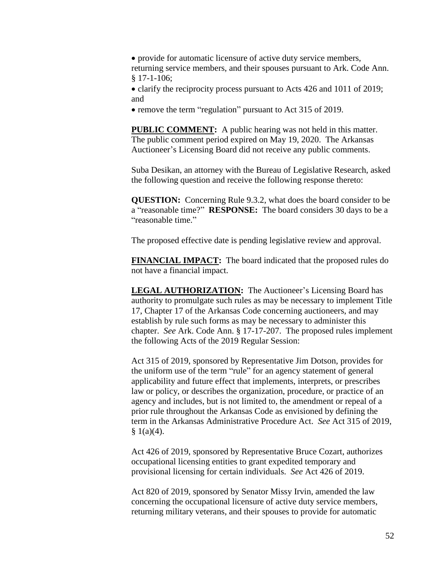provide for automatic licensure of active duty service members, returning service members, and their spouses pursuant to Ark. Code Ann. § 17-1-106;

• clarify the reciprocity process pursuant to Acts 426 and 1011 of 2019; and

• remove the term "regulation" pursuant to Act 315 of 2019.

**PUBLIC COMMENT:** A public hearing was not held in this matter. The public comment period expired on May 19, 2020. The Arkansas Auctioneer's Licensing Board did not receive any public comments.

Suba Desikan, an attorney with the Bureau of Legislative Research, asked the following question and receive the following response thereto:

**QUESTION:** Concerning Rule 9.3.2, what does the board consider to be a "reasonable time?" **RESPONSE:** The board considers 30 days to be a "reasonable time."

The proposed effective date is pending legislative review and approval.

**FINANCIAL IMPACT:** The board indicated that the proposed rules do not have a financial impact.

**LEGAL AUTHORIZATION:** The Auctioneer's Licensing Board has authority to promulgate such rules as may be necessary to implement Title 17, Chapter 17 of the Arkansas Code concerning auctioneers, and may establish by rule such forms as may be necessary to administer this chapter. *See* Ark. Code Ann. § 17-17-207. The proposed rules implement the following Acts of the 2019 Regular Session:

Act 315 of 2019, sponsored by Representative Jim Dotson, provides for the uniform use of the term "rule" for an agency statement of general applicability and future effect that implements, interprets, or prescribes law or policy, or describes the organization, procedure, or practice of an agency and includes, but is not limited to, the amendment or repeal of a prior rule throughout the Arkansas Code as envisioned by defining the term in the Arkansas Administrative Procedure Act. *See* Act 315 of 2019,  $§ 1(a)(4).$ 

Act 426 of 2019, sponsored by Representative Bruce Cozart, authorizes occupational licensing entities to grant expedited temporary and provisional licensing for certain individuals. *See* Act 426 of 2019.

Act 820 of 2019, sponsored by Senator Missy Irvin, amended the law concerning the occupational licensure of active duty service members, returning military veterans, and their spouses to provide for automatic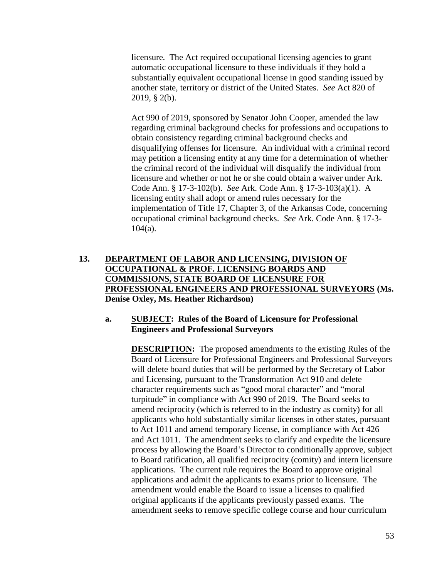licensure. The Act required occupational licensing agencies to grant automatic occupational licensure to these individuals if they hold a substantially equivalent occupational license in good standing issued by another state, territory or district of the United States. *See* Act 820 of 2019, § 2(b).

Act 990 of 2019, sponsored by Senator John Cooper, amended the law regarding criminal background checks for professions and occupations to obtain consistency regarding criminal background checks and disqualifying offenses for licensure. An individual with a criminal record may petition a licensing entity at any time for a determination of whether the criminal record of the individual will disqualify the individual from licensure and whether or not he or she could obtain a waiver under Ark. Code Ann. § 17-3-102(b). *See* Ark. Code Ann. § 17-3-103(a)(1). A licensing entity shall adopt or amend rules necessary for the implementation of Title 17, Chapter 3, of the Arkansas Code, concerning occupational criminal background checks. *See* Ark. Code Ann. § 17-3-  $104(a)$ .

# **13. DEPARTMENT OF LABOR AND LICENSING, DIVISION OF OCCUPATIONAL & PROF. LICENSING BOARDS AND COMMISSIONS, STATE BOARD OF LICENSURE FOR PROFESSIONAL ENGINEERS AND PROFESSIONAL SURVEYORS (Ms. Denise Oxley, Ms. Heather Richardson)**

## **a. SUBJECT: Rules of the Board of Licensure for Professional Engineers and Professional Surveyors**

**DESCRIPTION:** The proposed amendments to the existing Rules of the Board of Licensure for Professional Engineers and Professional Surveyors will delete board duties that will be performed by the Secretary of Labor and Licensing, pursuant to the Transformation Act 910 and delete character requirements such as "good moral character" and "moral turpitude" in compliance with Act 990 of 2019. The Board seeks to amend reciprocity (which is referred to in the industry as comity) for all applicants who hold substantially similar licenses in other states, pursuant to Act 1011 and amend temporary license, in compliance with Act 426 and Act 1011. The amendment seeks to clarify and expedite the licensure process by allowing the Board's Director to conditionally approve, subject to Board ratification, all qualified reciprocity (comity) and intern licensure applications. The current rule requires the Board to approve original applications and admit the applicants to exams prior to licensure. The amendment would enable the Board to issue a licenses to qualified original applicants if the applicants previously passed exams. The amendment seeks to remove specific college course and hour curriculum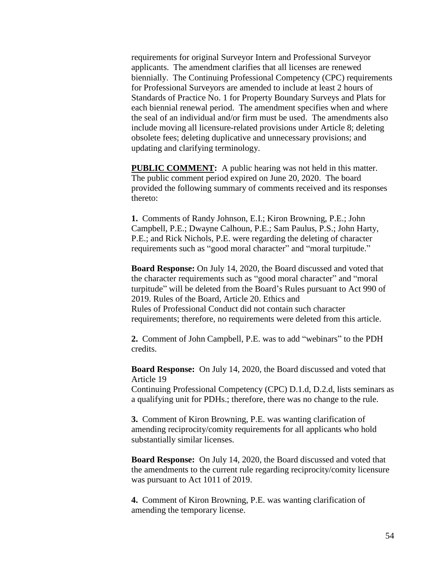requirements for original Surveyor Intern and Professional Surveyor applicants. The amendment clarifies that all licenses are renewed biennially. The Continuing Professional Competency (CPC) requirements for Professional Surveyors are amended to include at least 2 hours of Standards of Practice No. 1 for Property Boundary Surveys and Plats for each biennial renewal period. The amendment specifies when and where the seal of an individual and/or firm must be used. The amendments also include moving all licensure-related provisions under Article 8; deleting obsolete fees; deleting duplicative and unnecessary provisions; and updating and clarifying terminology.

**PUBLIC COMMENT:** A public hearing was not held in this matter. The public comment period expired on June 20, 2020. The board provided the following summary of comments received and its responses thereto:

**1.** Comments of Randy Johnson, E.I.; Kiron Browning, P.E.; John Campbell, P.E.; Dwayne Calhoun, P.E.; Sam Paulus, P.S.; John Harty, P.E.; and Rick Nichols, P.E. were regarding the deleting of character requirements such as "good moral character" and "moral turpitude."

**Board Response:** On July 14, 2020, the Board discussed and voted that the character requirements such as "good moral character" and "moral turpitude" will be deleted from the Board's Rules pursuant to Act 990 of 2019. Rules of the Board, Article 20. Ethics and Rules of Professional Conduct did not contain such character requirements; therefore, no requirements were deleted from this article.

**2.** Comment of John Campbell, P.E. was to add "webinars" to the PDH credits.

**Board Response:** On July 14, 2020, the Board discussed and voted that Article 19

Continuing Professional Competency (CPC) D.1.d, D.2.d, lists seminars as a qualifying unit for PDHs.; therefore, there was no change to the rule.

**3.** Comment of Kiron Browning, P.E. was wanting clarification of amending reciprocity/comity requirements for all applicants who hold substantially similar licenses.

**Board Response:** On July 14, 2020, the Board discussed and voted that the amendments to the current rule regarding reciprocity/comity licensure was pursuant to Act 1011 of 2019.

**4.** Comment of Kiron Browning, P.E. was wanting clarification of amending the temporary license.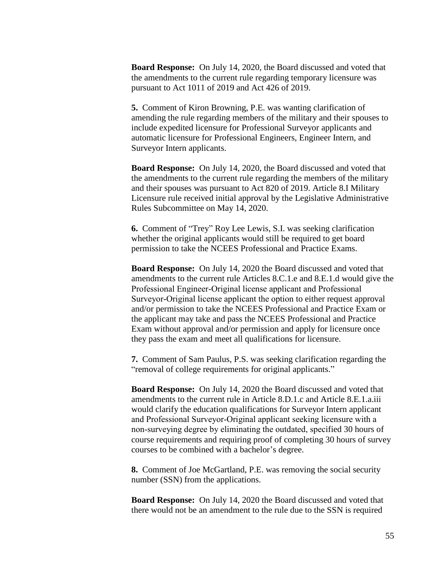**Board Response:** On July 14, 2020, the Board discussed and voted that the amendments to the current rule regarding temporary licensure was pursuant to Act 1011 of 2019 and Act 426 of 2019.

**5.** Comment of Kiron Browning, P.E. was wanting clarification of amending the rule regarding members of the military and their spouses to include expedited licensure for Professional Surveyor applicants and automatic licensure for Professional Engineers, Engineer Intern, and Surveyor Intern applicants.

**Board Response:** On July 14, 2020, the Board discussed and voted that the amendments to the current rule regarding the members of the military and their spouses was pursuant to Act 820 of 2019. Article 8.I Military Licensure rule received initial approval by the Legislative Administrative Rules Subcommittee on May 14, 2020.

**6.** Comment of "Trey" Roy Lee Lewis, S.I. was seeking clarification whether the original applicants would still be required to get board permission to take the NCEES Professional and Practice Exams.

**Board Response:** On July 14, 2020 the Board discussed and voted that amendments to the current rule Articles 8.C.1.e and 8.E.1.d would give the Professional Engineer‐Original license applicant and Professional Surveyor‐Original license applicant the option to either request approval and/or permission to take the NCEES Professional and Practice Exam or the applicant may take and pass the NCEES Professional and Practice Exam without approval and/or permission and apply for licensure once they pass the exam and meet all qualifications for licensure.

**7.** Comment of Sam Paulus, P.S. was seeking clarification regarding the "removal of college requirements for original applicants."

**Board Response:** On July 14, 2020 the Board discussed and voted that amendments to the current rule in Article 8.D.1.c and Article 8.E.1.a.iii would clarify the education qualifications for Surveyor Intern applicant and Professional Surveyor‐Original applicant seeking licensure with a non‐surveying degree by eliminating the outdated, specified 30 hours of course requirements and requiring proof of completing 30 hours of survey courses to be combined with a bachelor's degree.

**8.** Comment of Joe McGartland, P.E. was removing the social security number (SSN) from the applications.

**Board Response:** On July 14, 2020 the Board discussed and voted that there would not be an amendment to the rule due to the SSN is required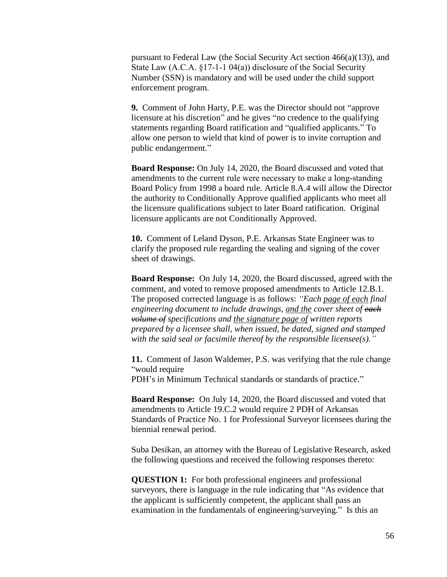pursuant to Federal Law (the Social Security Act section 466(a)(13)), and State Law (A.C.A. §17-1-1 04(a)) disclosure of the Social Security Number (SSN) is mandatory and will be used under the child support enforcement program.

**9.** Comment of John Harty, P.E. was the Director should not "approve licensure at his discretion" and he gives "no credence to the qualifying statements regarding Board ratification and "qualified applicants." To allow one person to wield that kind of power is to invite corruption and public endangerment."

**Board Response:** On July 14, 2020, the Board discussed and voted that amendments to the current rule were necessary to make a long‐standing Board Policy from 1998 a board rule. Article 8.A.4 will allow the Director the authority to Conditionally Approve qualified applicants who meet all the licensure qualifications subject to later Board ratification. Original licensure applicants are not Conditionally Approved.

**10.** Comment of Leland Dyson, P.E. Arkansas State Engineer was to clarify the proposed rule regarding the sealing and signing of the cover sheet of drawings.

**Board Response:** On July 14, 2020, the Board discussed, agreed with the comment, and voted to remove proposed amendments to Article 12.B.1. The proposed corrected language is as follows: *"Each page of each final engineering document to include drawings, and the cover sheet of each volume of specifications and the signature page of written reports prepared by a licensee shall, when issued, be dated, signed and stamped with the said seal or facsimile thereof by the responsible licensee(s)."*

**11.** Comment of Jason Waldemer, P.S. was verifying that the rule change "would require PDH's in Minimum Technical standards or standards of practice."

**Board Response:** On July 14, 2020, the Board discussed and voted that amendments to Article 19.C.2 would require 2 PDH of Arkansas Standards of Practice No. 1 for Professional Surveyor licensees during the biennial renewal period.

Suba Desikan, an attorney with the Bureau of Legislative Research, asked the following questions and received the following responses thereto:

**QUESTION 1:** For both professional engineers and professional surveyors, there is language in the rule indicating that "As evidence that the applicant is sufficiently competent, the applicant shall pass an examination in the fundamentals of engineering/surveying." Is this an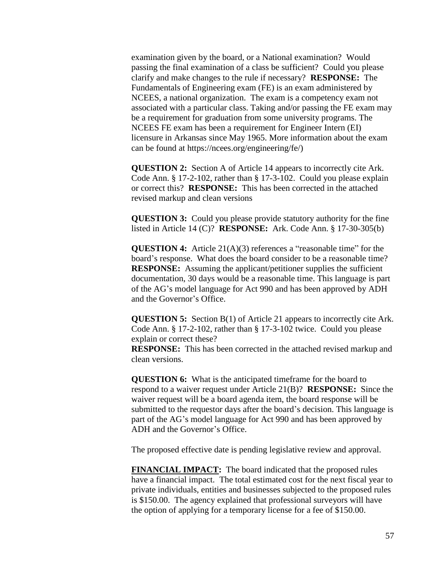examination given by the board, or a National examination? Would passing the final examination of a class be sufficient? Could you please clarify and make changes to the rule if necessary? **RESPONSE:** The Fundamentals of Engineering exam (FE) is an exam administered by NCEES, a national organization. The exam is a competency exam not associated with a particular class. Taking and/or passing the FE exam may be a requirement for graduation from some university programs. The NCEES FE exam has been a requirement for Engineer Intern (EI) licensure in Arkansas since May 1965. More information about the exam can be found at [https://ncees.org/engineering/fe/\)](https://ncees.org/engineering/fe/)

**QUESTION 2:** Section A of Article 14 appears to incorrectly cite Ark. Code Ann. § 17-2-102, rather than § 17-3-102. Could you please explain or correct this? **RESPONSE:** This has been corrected in the attached revised markup and clean versions

**QUESTION 3:** Could you please provide statutory authority for the fine listed in Article 14 (C)? **RESPONSE:** Ark. Code Ann. § 17-30-305(b)

**QUESTION 4:** Article 21(A)(3) references a "reasonable time" for the board's response. What does the board consider to be a reasonable time? **RESPONSE:** Assuming the applicant/petitioner supplies the sufficient documentation, 30 days would be a reasonable time. This language is part of the AG's model language for Act 990 and has been approved by ADH and the Governor's Office.

**QUESTION 5:** Section B(1) of Article 21 appears to incorrectly cite Ark. Code Ann. § 17-2-102, rather than § 17-3-102 twice. Could you please explain or correct these?

**RESPONSE:** This has been corrected in the attached revised markup and clean versions.

**QUESTION 6:** What is the anticipated timeframe for the board to respond to a waiver request under Article 21(B)? **RESPONSE:** Since the waiver request will be a board agenda item, the board response will be submitted to the requestor days after the board's decision. This language is part of the AG's model language for Act 990 and has been approved by ADH and the Governor's Office.

The proposed effective date is pending legislative review and approval.

**FINANCIAL IMPACT:** The board indicated that the proposed rules have a financial impact. The total estimated cost for the next fiscal year to private individuals, entities and businesses subjected to the proposed rules is \$150.00. The agency explained that professional surveyors will have the option of applying for a temporary license for a fee of \$150.00.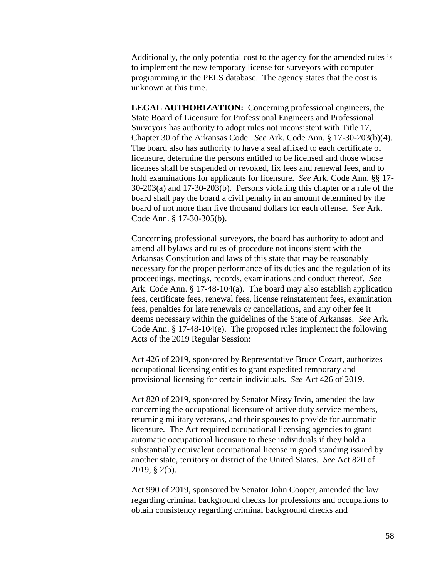Additionally, the only potential cost to the agency for the amended rules is to implement the new temporary license for surveyors with computer programming in the PELS database. The agency states that the cost is unknown at this time.

**LEGAL AUTHORIZATION:** Concerning professional engineers, the State Board of Licensure for Professional Engineers and Professional Surveyors has authority to adopt rules not inconsistent with Title 17, Chapter 30 of the Arkansas Code. *See* Ark. Code Ann. § 17-30-203(b)(4). The board also has authority to have a seal affixed to each certificate of licensure, determine the persons entitled to be licensed and those whose licenses shall be suspended or revoked, fix fees and renewal fees, and to hold examinations for applicants for licensure. *See* Ark. Code Ann. §§ 17- 30-203(a) and 17-30-203(b). Persons violating this chapter or a rule of the board shall pay the board a civil penalty in an amount determined by the board of not more than five thousand dollars for each offense. *See* Ark. Code Ann. § 17-30-305(b).

Concerning professional surveyors, the board has authority to adopt and amend all bylaws and rules of procedure not inconsistent with the Arkansas Constitution and laws of this state that may be reasonably necessary for the proper performance of its duties and the regulation of its proceedings, meetings, records, examinations and conduct thereof. *See* Ark. Code Ann. § 17-48-104(a). The board may also establish application fees, certificate fees, renewal fees, license reinstatement fees, examination fees, penalties for late renewals or cancellations, and any other fee it deems necessary within the guidelines of the State of Arkansas. *See* Ark. Code Ann. § 17-48-104(e). The proposed rules implement the following Acts of the 2019 Regular Session:

Act 426 of 2019, sponsored by Representative Bruce Cozart, authorizes occupational licensing entities to grant expedited temporary and provisional licensing for certain individuals. *See* Act 426 of 2019.

Act 820 of 2019, sponsored by Senator Missy Irvin, amended the law concerning the occupational licensure of active duty service members, returning military veterans, and their spouses to provide for automatic licensure. The Act required occupational licensing agencies to grant automatic occupational licensure to these individuals if they hold a substantially equivalent occupational license in good standing issued by another state, territory or district of the United States. *See* Act 820 of 2019, § 2(b).

Act 990 of 2019, sponsored by Senator John Cooper, amended the law regarding criminal background checks for professions and occupations to obtain consistency regarding criminal background checks and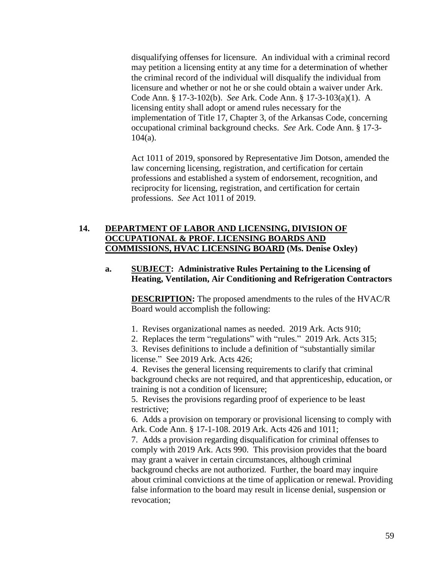disqualifying offenses for licensure. An individual with a criminal record may petition a licensing entity at any time for a determination of whether the criminal record of the individual will disqualify the individual from licensure and whether or not he or she could obtain a waiver under Ark. Code Ann. § 17-3-102(b). *See* Ark. Code Ann. § 17-3-103(a)(1). A licensing entity shall adopt or amend rules necessary for the implementation of Title 17, Chapter 3, of the Arkansas Code, concerning occupational criminal background checks. *See* Ark. Code Ann. § 17-3-  $104(a)$ .

Act 1011 of 2019, sponsored by Representative Jim Dotson, amended the law concerning licensing, registration, and certification for certain professions and established a system of endorsement, recognition, and reciprocity for licensing, registration, and certification for certain professions. *See* Act 1011 of 2019.

# **14. DEPARTMENT OF LABOR AND LICENSING, DIVISION OF OCCUPATIONAL & PROF. LICENSING BOARDS AND COMMISSIONS, HVAC LICENSING BOARD (Ms. Denise Oxley)**

## **a. SUBJECT: Administrative Rules Pertaining to the Licensing of Heating, Ventilation, Air Conditioning and Refrigeration Contractors**

**DESCRIPTION:** The proposed amendments to the rules of the HVAC/R Board would accomplish the following:

- 1. Revises organizational names as needed. 2019 Ark. Acts 910;
- 2. Replaces the term "regulations" with "rules." 2019 Ark. Acts 315;

3. Revises definitions to include a definition of "substantially similar license." See 2019 Ark. Acts 426;

4. Revises the general licensing requirements to clarify that criminal background checks are not required, and that apprenticeship, education, or training is not a condition of licensure;

5. Revises the provisions regarding proof of experience to be least restrictive;

6. Adds a provision on temporary or provisional licensing to comply with Ark. Code Ann. § 17-1-108. 2019 Ark. Acts 426 and 1011;

7. Adds a provision regarding disqualification for criminal offenses to comply with 2019 Ark. Acts 990. This provision provides that the board may grant a waiver in certain circumstances, although criminal background checks are not authorized. Further, the board may inquire about criminal convictions at the time of application or renewal. Providing false information to the board may result in license denial, suspension or revocation;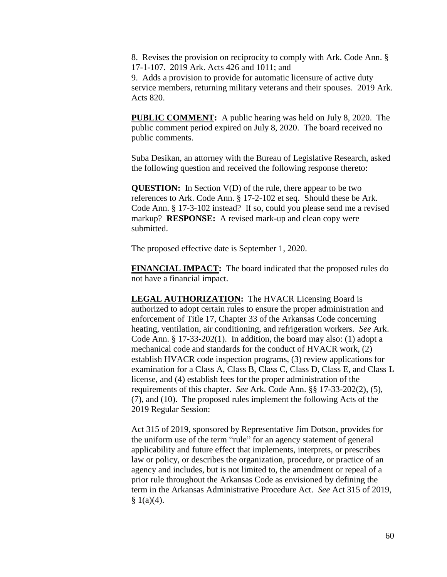8. Revises the provision on reciprocity to comply with Ark. Code Ann. § 17-1-107. 2019 Ark. Acts 426 and 1011; and

9. Adds a provision to provide for automatic licensure of active duty service members, returning military veterans and their spouses. 2019 Ark. Acts 820.

**PUBLIC COMMENT:** A public hearing was held on July 8, 2020. The public comment period expired on July 8, 2020. The board received no public comments.

Suba Desikan, an attorney with the Bureau of Legislative Research, asked the following question and received the following response thereto:

**QUESTION:** In Section V(D) of the rule, there appear to be two references to Ark. Code Ann. § 17-2-102 et seq. Should these be Ark. Code Ann. § 17-3-102 instead? If so, could you please send me a revised markup? **RESPONSE:** A revised mark-up and clean copy were submitted.

The proposed effective date is September 1, 2020.

**FINANCIAL IMPACT:** The board indicated that the proposed rules do not have a financial impact.

**LEGAL AUTHORIZATION:** The HVACR Licensing Board is authorized to adopt certain rules to ensure the proper administration and enforcement of Title 17, Chapter 33 of the Arkansas Code concerning heating, ventilation, air conditioning, and refrigeration workers. *See* Ark. Code Ann. § 17-33-202(1). In addition, the board may also: (1) adopt a mechanical code and standards for the conduct of HVACR work, (2) establish HVACR code inspection programs, (3) review applications for examination for a Class A, Class B, Class C, Class D, Class E, and Class L license, and (4) establish fees for the proper administration of the requirements of this chapter. *See* Ark. Code Ann. §§ 17-33-202(2), (5), (7), and (10). The proposed rules implement the following Acts of the 2019 Regular Session:

Act 315 of 2019, sponsored by Representative Jim Dotson, provides for the uniform use of the term "rule" for an agency statement of general applicability and future effect that implements, interprets, or prescribes law or policy, or describes the organization, procedure, or practice of an agency and includes, but is not limited to, the amendment or repeal of a prior rule throughout the Arkansas Code as envisioned by defining the term in the Arkansas Administrative Procedure Act. *See* Act 315 of 2019,  $§ 1(a)(4).$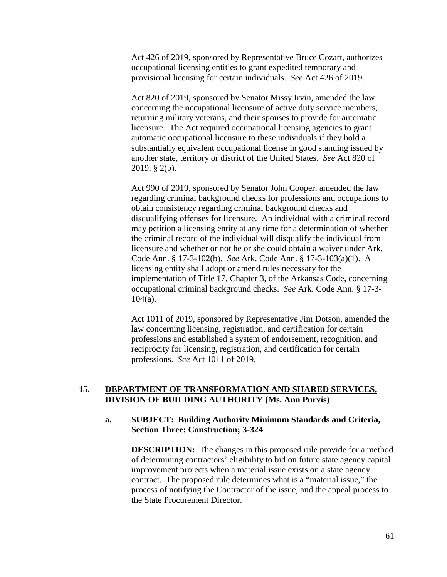Act 426 of 2019, sponsored by Representative Bruce Cozart, authorizes occupational licensing entities to grant expedited temporary and provisional licensing for certain individuals. *See* Act 426 of 2019.

Act 820 of 2019, sponsored by Senator Missy Irvin, amended the law concerning the occupational licensure of active duty service members, returning military veterans, and their spouses to provide for automatic licensure. The Act required occupational licensing agencies to grant automatic occupational licensure to these individuals if they hold a substantially equivalent occupational license in good standing issued by another state, territory or district of the United States. *See* Act 820 of 2019, § 2(b).

Act 990 of 2019, sponsored by Senator John Cooper, amended the law regarding criminal background checks for professions and occupations to obtain consistency regarding criminal background checks and disqualifying offenses for licensure. An individual with a criminal record may petition a licensing entity at any time for a determination of whether the criminal record of the individual will disqualify the individual from licensure and whether or not he or she could obtain a waiver under Ark. Code Ann. § 17-3-102(b). *See* Ark. Code Ann. § 17-3-103(a)(1). A licensing entity shall adopt or amend rules necessary for the implementation of Title 17, Chapter 3, of the Arkansas Code, concerning occupational criminal background checks. *See* Ark. Code Ann. § 17-3- 104(a).

Act 1011 of 2019, sponsored by Representative Jim Dotson, amended the law concerning licensing, registration, and certification for certain professions and established a system of endorsement, recognition, and reciprocity for licensing, registration, and certification for certain professions. *See* Act 1011 of 2019.

## **15. DEPARTMENT OF TRANSFORMATION AND SHARED SERVICES, DIVISION OF BUILDING AUTHORITY (Ms. Ann Purvis)**

## **a. SUBJECT: Building Authority Minimum Standards and Criteria, Section Three: Construction; 3-324**

**DESCRIPTION:** The changes in this proposed rule provide for a method of determining contractors' eligibility to bid on future state agency capital improvement projects when a material issue exists on a state agency contract. The proposed rule determines what is a "material issue," the process of notifying the Contractor of the issue, and the appeal process to the State Procurement Director.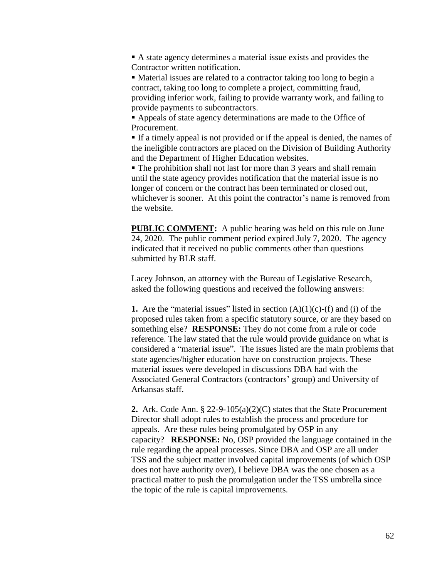A state agency determines a material issue exists and provides the Contractor written notification.

 Material issues are related to a contractor taking too long to begin a contract, taking too long to complete a project, committing fraud, providing inferior work, failing to provide warranty work, and failing to provide payments to subcontractors.

 Appeals of state agency determinations are made to the Office of Procurement.

 If a timely appeal is not provided or if the appeal is denied, the names of the ineligible contractors are placed on the Division of Building Authority and the Department of Higher Education websites.

 The prohibition shall not last for more than 3 years and shall remain until the state agency provides notification that the material issue is no longer of concern or the contract has been terminated or closed out, whichever is sooner. At this point the contractor's name is removed from the website.

**PUBLIC COMMENT:** A public hearing was held on this rule on June 24, 2020. The public comment period expired July 7, 2020. The agency indicated that it received no public comments other than questions submitted by BLR staff.

Lacey Johnson, an attorney with the Bureau of Legislative Research, asked the following questions and received the following answers:

**1.** Are the "material issues" listed in section  $(A)(1)(c)$ -(f) and (i) of the proposed rules taken from a specific statutory source, or are they based on something else? **RESPONSE:** They do not come from a rule or code reference. The law stated that the rule would provide guidance on what is considered a "material issue". The issues listed are the main problems that state agencies/higher education have on construction projects. These material issues were developed in discussions DBA had with the Associated General Contractors (contractors' group) and University of Arkansas staff.

**2.** Ark. Code Ann. § 22-9-105(a)(2)(C) states that the State Procurement Director shall adopt rules to establish the process and procedure for appeals. Are these rules being promulgated by OSP in any capacity? **RESPONSE:** No, OSP provided the language contained in the rule regarding the appeal processes. Since DBA and OSP are all under TSS and the subject matter involved capital improvements (of which OSP does not have authority over), I believe DBA was the one chosen as a practical matter to push the promulgation under the TSS umbrella since the topic of the rule is capital improvements.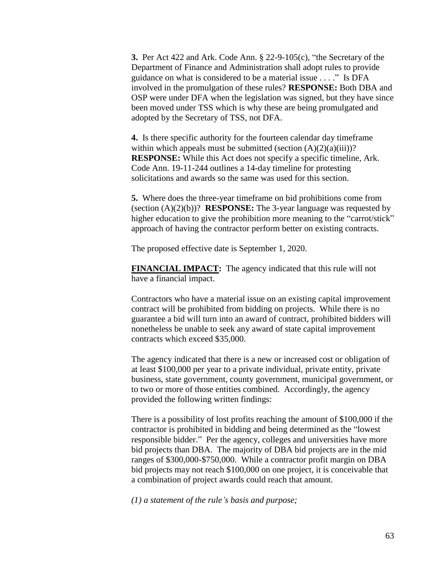**3.** Per Act 422 and Ark. Code Ann. § 22-9-105(c), "the Secretary of the Department of Finance and Administration shall adopt rules to provide guidance on what is considered to be a material issue . . . ." Is DFA involved in the promulgation of these rules? **RESPONSE:** Both DBA and OSP were under DFA when the legislation was signed, but they have since been moved under TSS which is why these are being promulgated and adopted by the Secretary of TSS, not DFA.

**4.** Is there specific authority for the fourteen calendar day timeframe within which appeals must be submitted (section  $(A)(2)(a)(iii)$ )? **RESPONSE:** While this Act does not specify a specific timeline, Ark. Code Ann. 19-11-244 outlines a 14-day timeline for protesting solicitations and awards so the same was used for this section.

**5.** Where does the three-year timeframe on bid prohibitions come from (section (A)(2)(b))? **RESPONSE:** The 3-year language was requested by higher education to give the prohibition more meaning to the "carrot/stick" approach of having the contractor perform better on existing contracts.

The proposed effective date is September 1, 2020.

**FINANCIAL IMPACT:** The agency indicated that this rule will not have a financial impact.

Contractors who have a material issue on an existing capital improvement contract will be prohibited from bidding on projects. While there is no guarantee a bid will turn into an award of contract, prohibited bidders will nonetheless be unable to seek any award of state capital improvement contracts which exceed \$35,000.

The agency indicated that there is a new or increased cost or obligation of at least \$100,000 per year to a private individual, private entity, private business, state government, county government, municipal government, or to two or more of those entities combined. Accordingly, the agency provided the following written findings:

There is a possibility of lost profits reaching the amount of \$100,000 if the contractor is prohibited in bidding and being determined as the "lowest responsible bidder." Per the agency, colleges and universities have more bid projects than DBA. The majority of DBA bid projects are in the mid ranges of \$300,000-\$750,000. While a contractor profit margin on DBA bid projects may not reach \$100,000 on one project, it is conceivable that a combination of project awards could reach that amount.

*(1) a statement of the rule's basis and purpose;*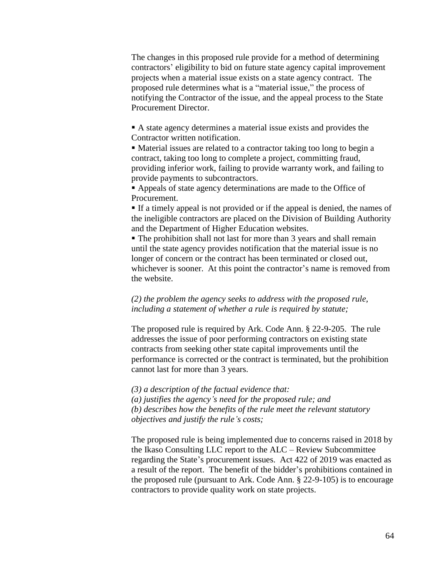The changes in this proposed rule provide for a method of determining contractors' eligibility to bid on future state agency capital improvement projects when a material issue exists on a state agency contract. The proposed rule determines what is a "material issue," the process of notifying the Contractor of the issue, and the appeal process to the State Procurement Director.

 A state agency determines a material issue exists and provides the Contractor written notification.

 Material issues are related to a contractor taking too long to begin a contract, taking too long to complete a project, committing fraud, providing inferior work, failing to provide warranty work, and failing to provide payments to subcontractors.

 Appeals of state agency determinations are made to the Office of Procurement.

 If a timely appeal is not provided or if the appeal is denied, the names of the ineligible contractors are placed on the Division of Building Authority and the Department of Higher Education websites.

 The prohibition shall not last for more than 3 years and shall remain until the state agency provides notification that the material issue is no longer of concern or the contract has been terminated or closed out, whichever is sooner. At this point the contractor's name is removed from the website.

*(2) the problem the agency seeks to address with the proposed rule, including a statement of whether a rule is required by statute;*

The proposed rule is required by Ark. Code Ann. § 22-9-205. The rule addresses the issue of poor performing contractors on existing state contracts from seeking other state capital improvements until the performance is corrected or the contract is terminated, but the prohibition cannot last for more than 3 years.

*(3) a description of the factual evidence that: (a) justifies the agency's need for the proposed rule; and (b) describes how the benefits of the rule meet the relevant statutory objectives and justify the rule's costs;*

The proposed rule is being implemented due to concerns raised in 2018 by the Ikaso Consulting LLC report to the ALC – Review Subcommittee regarding the State's procurement issues. Act 422 of 2019 was enacted as a result of the report. The benefit of the bidder's prohibitions contained in the proposed rule (pursuant to Ark. Code Ann. § 22-9-105) is to encourage contractors to provide quality work on state projects.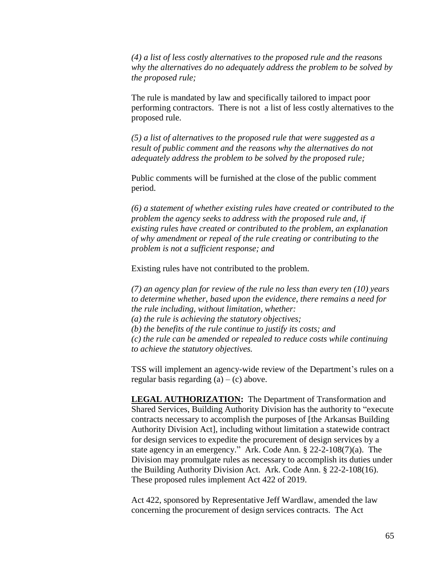*(4) a list of less costly alternatives to the proposed rule and the reasons why the alternatives do no adequately address the problem to be solved by the proposed rule;*

The rule is mandated by law and specifically tailored to impact poor performing contractors. There is not a list of less costly alternatives to the proposed rule.

*(5) a list of alternatives to the proposed rule that were suggested as a result of public comment and the reasons why the alternatives do not adequately address the problem to be solved by the proposed rule;*

Public comments will be furnished at the close of the public comment period.

*(6) a statement of whether existing rules have created or contributed to the problem the agency seeks to address with the proposed rule and, if existing rules have created or contributed to the problem, an explanation of why amendment or repeal of the rule creating or contributing to the problem is not a sufficient response; and*

Existing rules have not contributed to the problem.

*(7) an agency plan for review of the rule no less than every ten (10) years to determine whether, based upon the evidence, there remains a need for the rule including, without limitation, whether: (a) the rule is achieving the statutory objectives; (b) the benefits of the rule continue to justify its costs; and (c) the rule can be amended or repealed to reduce costs while continuing to achieve the statutory objectives.* 

TSS will implement an agency-wide review of the Department's rules on a regular basis regarding  $(a) - (c)$  above.

**LEGAL AUTHORIZATION:** The Department of Transformation and Shared Services, Building Authority Division has the authority to "execute contracts necessary to accomplish the purposes of [the Arkansas Building Authority Division Act], including without limitation a statewide contract for design services to expedite the procurement of design services by a state agency in an emergency." Ark. Code Ann. § 22-2-108(7)(a). The Division may promulgate rules as necessary to accomplish its duties under the Building Authority Division Act. Ark. Code Ann. § 22-2-108(16). These proposed rules implement Act 422 of 2019.

Act 422, sponsored by Representative Jeff Wardlaw, amended the law concerning the procurement of design services contracts. The Act